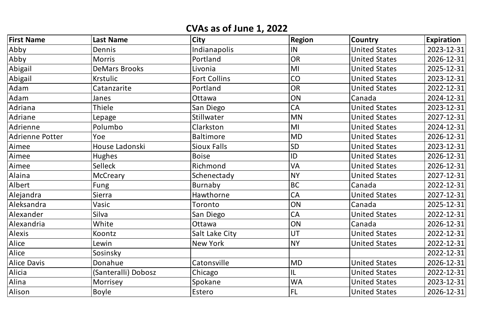| <b>First Name</b>      | <b>Last Name</b>     | <b>City</b>         | <b>Region</b>   | <b>Country</b>       | <b>Expiration</b> |
|------------------------|----------------------|---------------------|-----------------|----------------------|-------------------|
| Abby                   | Dennis               | Indianapolis        | IN              | <b>United States</b> | 2023-12-31        |
| Abby                   | <b>Morris</b>        | Portland            | <b>OR</b>       | <b>United States</b> | 2026-12-31        |
| Abigail                | <b>DeMars Brooks</b> | Livonia             | MI              | <b>United States</b> | 2025-12-31        |
| Abigail                | <b>Krstulic</b>      | <b>Fort Collins</b> | CO              | <b>United States</b> | 2023-12-31        |
| Adam                   | Catanzarite          | Portland            | <b>OR</b>       | <b>United States</b> | 2022-12-31        |
| Adam                   | Janes                | Ottawa              | ON              | Canada               | 2024-12-31        |
| Adriana                | Thiele               | <b>San Diego</b>    | <b>CA</b>       | <b>United States</b> | 2023-12-31        |
| Adriane                | Lepage               | Stillwater          | <b>MN</b>       | <b>United States</b> | 2027-12-31        |
| Adrienne               | Polumbo              | Clarkston           | MI              | <b>United States</b> | 2024-12-31        |
| <b>Adrienne Potter</b> | Yoe                  | <b>Baltimore</b>    | <b>MD</b>       | <b>United States</b> | 2026-12-31        |
| Aimee                  | House Ladonski       | <b>Sioux Falls</b>  | <b>SD</b>       | <b>United States</b> | 2023-12-31        |
| Aimee                  | <b>Hughes</b>        | <b>Boise</b>        | ID              | <b>United States</b> | 2026-12-31        |
| Aimee                  | Selleck              | Richmond            | <b>VA</b>       | <b>United States</b> | 2026-12-31        |
| Alaina                 | McCreary             | Schenectady         | <b>NY</b>       | <b>United States</b> | 2027-12-31        |
| Albert                 | Fung                 | Burnaby             | <b>BC</b>       | Canada               | 2022-12-31        |
| Alejandra              | Sierra               | Hawthorne           | <b>CA</b>       | <b>United States</b> | 2027-12-31        |
| Aleksandra             | Vasic                | Toronto             | ON              | Canada               | 2025-12-31        |
| Alexander              | Silva                | <b>San Diego</b>    | <sup>I</sup> CA | <b>United States</b> | 2022-12-31        |
| Alexandria             | White                | Ottawa              | ON              | Canada               | 2026-12-31        |
| <b>Alexis</b>          | Koontz               | Salt Lake City      | UT              | <b>United States</b> | 2022-12-31        |
| Alice                  | Lewin                | New York            | <b>NY</b>       | <b>United States</b> | 2022-12-31        |
| Alice                  | Sosinsky             |                     |                 |                      | 2022-12-31        |
| <b>Alice Davis</b>     | Donahue              | Catonsville         | <b>MD</b>       | <b>United States</b> | 2026-12-31        |
| Alicia                 | (Santeralli) Dobosz  | Chicago             | L               | <b>United States</b> | 2022-12-31        |
| Alina                  | Morrisey             | Spokane             | <b>WA</b>       | <b>United States</b> | 2023-12-31        |
| Alison                 | Boyle                | Estero              | <b>FL</b>       | <b>United States</b> | 2026-12-31        |

## **CVAs as of June 1, 2022**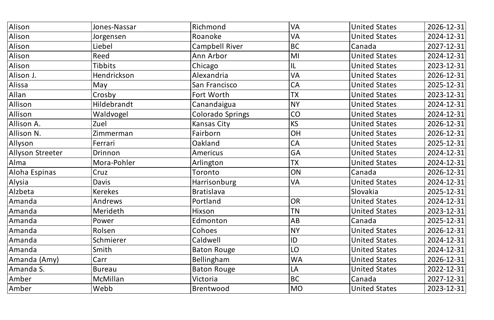| Alison           | Jones-Nassar   | Richmond                | <b>VA</b> | <b>United States</b> | 2026-12-31 |
|------------------|----------------|-------------------------|-----------|----------------------|------------|
| Alison           | Jorgensen      | Roanoke                 | <b>VA</b> | <b>United States</b> | 2024-12-31 |
| Alison           | Liebel         | <b>Campbell River</b>   | <b>BC</b> | Canada               | 2027-12-31 |
| Alison           | Reed           | Ann Arbor               | MI        | <b>United States</b> | 2024-12-31 |
| Alison           | <b>Tibbits</b> | Chicago                 | L         | <b>United States</b> | 2023-12-31 |
| Alison J.        | Hendrickson    | Alexandria              | <b>VA</b> | <b>United States</b> | 2026-12-31 |
| Alissa           | May            | San Francisco           | <b>CA</b> | <b>United States</b> | 2025-12-31 |
| Allan            | Crosby         | Fort Worth              | <b>TX</b> | <b>United States</b> | 2023-12-31 |
| Allison          | Hildebrandt    | Canandaigua             | <b>NY</b> | <b>United States</b> | 2024-12-31 |
| Allison          | Waldvogel      | <b>Colorado Springs</b> | CO        | <b>United States</b> | 2024-12-31 |
| Allison A.       | Zuel           | Kansas City             | <b>KS</b> | <b>United States</b> | 2026-12-31 |
| Allison N.       | Zimmerman      | Fairborn                | OH        | <b>United States</b> | 2026-12-31 |
| Allyson          | Ferrari        | Oakland                 | <b>CA</b> | <b>United States</b> | 2025-12-31 |
| Allyson Streeter | Drinnon        | <b>Americus</b>         | <b>GA</b> | <b>United States</b> | 2024-12-31 |
| Alma             | Mora-Pohler    | Arlington               | <b>TX</b> | <b>United States</b> | 2024-12-31 |
| Aloha Espinas    | Cruz           | Toronto                 | ON        | Canada               | 2026-12-31 |
| Alysia           | Davis          | <b>Harrisonburg</b>     | <b>VA</b> | <b>United States</b> | 2024-12-31 |
| Alzbeta          | <b>Kerekes</b> | <b>Bratislava</b>       |           | Slovakia             | 2025-12-31 |
| Amanda           | Andrews        | Portland                | OR        | United States        | 2024-12-31 |
| Amanda           | Merideth       | Hixson                  | <b>TN</b> | <b>United States</b> | 2023-12-31 |
| Amanda           | Power          | Edmonton                | AB        | Canada               | 2025-12-31 |
| Amanda           | Rolsen         | Cohoes                  | NY        | <b>United States</b> | 2026-12-31 |
| Amanda           | Schmierer      | Caldwell                | ID        | <b>United States</b> | 2024-12-31 |
| Amanda           | Smith          | <b>Baton Rouge</b>      | LO        | <b>United States</b> | 2024-12-31 |
| Amanda (Amy)     | Carr           | Bellingham              | <b>WA</b> | <b>United States</b> | 2026-12-31 |
| Amanda S.        | <b>Bureau</b>  | <b>Baton Rouge</b>      | LA        | <b>United States</b> | 2022-12-31 |
| Amber            | McMillan       | Victoria                | BC        | Canada               | 2027-12-31 |
| Amber            | Webb           | Brentwood               | MO        | United States        | 2023-12-31 |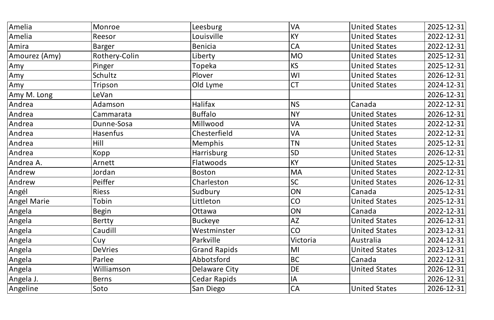| Amelia        | Monroe               | Leesburg            | <b>VA</b> | <b>United States</b> | 2025-12-31 |
|---------------|----------------------|---------------------|-----------|----------------------|------------|
| Amelia        | Reesor               | Louisville          | <b>KY</b> | <b>United States</b> | 2022-12-31 |
| Amira         | <b>Barger</b>        | <b>Benicia</b>      | <b>CA</b> | <b>United States</b> | 2022-12-31 |
| Amourez (Amy) | <b>Rothery-Colin</b> | Liberty             | <b>MO</b> | <b>United States</b> | 2025-12-31 |
| Amy           | Pinger               | Topeka              | <b>KS</b> | <b>United States</b> | 2025-12-31 |
| Amy           | Schultz              | Plover              | WI        | <b>United States</b> | 2026-12-31 |
| Amy           | Tripson              | Old Lyme            | <b>CT</b> | <b>United States</b> | 2024-12-31 |
| Amy M. Long   | LeVan                |                     |           |                      | 2026-12-31 |
| Andrea        | Adamson              | Halifax             | <b>NS</b> | Canada               | 2022-12-31 |
| Andrea        | Cammarata            | <b>Buffalo</b>      | <b>NY</b> | <b>United States</b> | 2026-12-31 |
| Andrea        | Dunne-Sosa           | Millwood            | <b>VA</b> | <b>United States</b> | 2022-12-31 |
| Andrea        | <b>Hasenfus</b>      | Chesterfield        | <b>VA</b> | <b>United States</b> | 2022-12-31 |
| Andrea        | Hill                 | <b>Memphis</b>      | <b>TN</b> | <b>United States</b> | 2025-12-31 |
| Andrea        | Kopp                 | <b>Harrisburg</b>   | <b>SD</b> | <b>United States</b> | 2026-12-31 |
| Andrea A.     | Arnett               | Flatwoods           | <b>KY</b> | <b>United States</b> | 2025-12-31 |
| Andrew        | Jordan               | <b>Boston</b>       | <b>MA</b> | <b>United States</b> | 2022-12-31 |
| Andrew        | Peiffer              | Charleston          | SC        | <b>United States</b> | 2026-12-31 |
| Angél         | <b>Riess</b>         | Sudbury             | ON        | Canada               | 2025-12-31 |
| Angel Marie   | Tobin                | Littleton           | <b>CO</b> | <b>United States</b> | 2025-12-31 |
| Angela        | Begin                | Ottawa              | ON        | Canada               | 2022-12-31 |
| Angela        | Bertty               | Buckeye             | <b>AZ</b> | <b>United States</b> | 2026-12-31 |
| Angela        | Caudill              | Westminster         | CO        | <b>United States</b> | 2023-12-31 |
| Angela        | Cuy                  | Parkville           | Victoria  | Australia            | 2024-12-31 |
| Angela        | <b>DeVries</b>       | <b>Grand Rapids</b> | MI        | <b>United States</b> | 2023-12-31 |
| Angela        | Parlee               | Abbotsford          | <b>BC</b> | Canada               | 2022-12-31 |
| Angela        | Williamson           | Delaware City       | <b>DE</b> | <b>United States</b> | 2026-12-31 |
| Angela J.     | <b>Berns</b>         | <b>Cedar Rapids</b> | IA        |                      | 2026-12-31 |
| Angeline      | <b>Soto</b>          | San Diego           | CA        | <b>United States</b> | 2026-12-31 |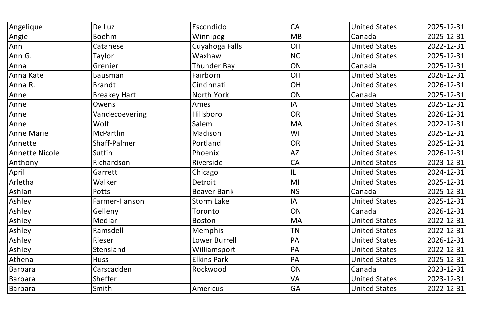| Angelique      | De Luz              | Escondido          | <b>CA</b>     | <b>United States</b> | 2025-12-31 |
|----------------|---------------------|--------------------|---------------|----------------------|------------|
| Angie          | Boehm               | Winnipeg           | <b>MB</b>     | Canada               | 2025-12-31 |
| Ann            | Catanese            | Cuyahoga Falls     | OH            | <b>United States</b> | 2022-12-31 |
| Ann G.         | Taylor              | Waxhaw             | <b>NC</b>     | <b>United States</b> | 2025-12-31 |
| Anna           | Grenier             | <b>Thunder Bay</b> | ON            | Canada               | 2025-12-31 |
| Anna Kate      | Bausman             | Fairborn           | OH            | <b>United States</b> | 2026-12-31 |
| Anna R.        | <b>Brandt</b>       | Cincinnati         | <b>OH</b>     | <b>United States</b> | 2026-12-31 |
| Anne           | <b>Breakey Hart</b> | North York         | ON            | Canada               | 2025-12-31 |
| Anne           | Owens               | Ames               | <b>IA</b>     | <b>United States</b> | 2025-12-31 |
| Anne           | Vandecoevering      | <b>Hillsboro</b>   | <b>OR</b>     | <b>United States</b> | 2026-12-31 |
| Anne           | Wolf                | Salem              | <b>MA</b>     | <b>United States</b> | 2022-12-31 |
| Anne Marie     | <b>McPartlin</b>    | Madison            | WI            | <b>United States</b> | 2025-12-31 |
| Annette        | Shaff-Palmer        | Portland           | OR            | <b>United States</b> | 2025-12-31 |
| Annette Nicole | Sutfin              | Phoenix            | <b>AZ</b>     | <b>United States</b> | 2026-12-31 |
| Anthony        | Richardson          | Riverside          | CA            | <b>United States</b> | 2023-12-31 |
| April          | Garrett             | Chicago            | 1L            | <b>United States</b> | 2024-12-31 |
| Arletha        | Walker              | Detroit            | MI            | <b>United States</b> | 2025-12-31 |
| Ashlan         | Potts               | <b>Beaver Bank</b> | <b>NS</b>     | Canada               | 2025-12-31 |
| Ashley         | Farmer-Hanson       | <b>Storm Lake</b>  | $\mathsf{II}$ | United States        | 2025-12-31 |
| Ashley         | Gelleny             | Toronto            | ON            | Canada               | 2026-12-31 |
| Ashley         | Medlar              | <b>Boston</b>      | <b>MA</b>     | <b>United States</b> | 2022-12-31 |
| Ashley         | Ramsdell            | <b>Memphis</b>     | <b>TN</b>     | <b>United States</b> | 2022-12-31 |
| Ashley         | Rieser              | Lower Burrell      | PA            | <b>United States</b> | 2026-12-31 |
| Ashley         | Stensland           | Williamsport       | PA            | <b>United States</b> | 2022-12-31 |
| Athena         | Huss                | <b>Elkins Park</b> | PA            | <b>United States</b> | 2025-12-31 |
| Barbara        | Carscadden          | Rockwood           | ON            | Canada               | 2023-12-31 |
| Barbara        | Sheffer             |                    | <b>VA</b>     | <b>United States</b> | 2023-12-31 |
| Barbara        | Smith               | Americus           | <b>GA</b>     | <b>United States</b> | 2022-12-31 |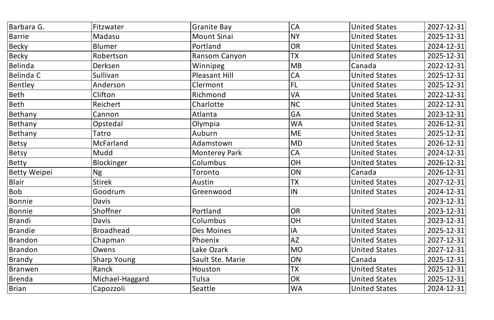| Barbara G.          | Fitzwater          | <b>Granite Bay</b>   | <b>CA</b> | <b>United States</b> | 2027-12-31 |
|---------------------|--------------------|----------------------|-----------|----------------------|------------|
| <b>Barrie</b>       | Madasu             | <b>Mount Sinai</b>   | <b>NY</b> | <b>United States</b> | 2025-12-31 |
| <b>Becky</b>        | <b>Blumer</b>      | Portland             | <b>OR</b> | <b>United States</b> | 2024-12-31 |
| <b>Becky</b>        | Robertson          | Ransom Canyon        | <b>TX</b> | <b>United States</b> | 2025-12-31 |
| Belinda             | Derksen            | Winnipeg             | MB        | Canada               | 2022-12-31 |
| Belinda C           | Sullivan           | Pleasant Hill        | <b>CA</b> | <b>United States</b> | 2025-12-31 |
| Bentley             | Anderson           | Clermont             | <b>FL</b> | <b>United States</b> | 2025-12-31 |
| Beth                | Clifton            | Richmond             | <b>VA</b> | <b>United States</b> | 2022-12-31 |
| Beth                | Reichert           | Charlotte            | <b>NC</b> | <b>United States</b> | 2022-12-31 |
| Bethany             | Cannon             | Atlanta              | <b>GA</b> | <b>United States</b> | 2023-12-31 |
| Bethany             | Opstedal           | Olympia              | <b>WA</b> | <b>United States</b> | 2026-12-31 |
| Bethany             | Tatro              | Auburn               | <b>ME</b> | <b>United States</b> | 2025-12-31 |
| Betsy               | <b>McFarland</b>   | Adamstown            | <b>MD</b> | <b>United States</b> | 2026-12-31 |
| <b>Betsy</b>        | Mudd               | <b>Monterey Park</b> | <b>CA</b> | <b>United States</b> | 2024-12-31 |
| <b>Betty</b>        | Blockinger         | Columbus             | <b>OH</b> | <b>United States</b> | 2026-12-31 |
| <b>Betty Weipei</b> | <b>Ng</b>          | Toronto              | ON        | Canada               | 2026-12-31 |
| Blair               | <b>Stirek</b>      | Austin               | <b>TX</b> | <b>United States</b> | 2027-12-31 |
| Bob                 | Goodrum            | Greenwood            | IN        | <b>United States</b> | 2024-12-31 |
| Bonnie              | Davis              |                      |           |                      | 2023-12-31 |
| Bonnie              | Shoffner           | Portland             | <b>OR</b> | <b>United States</b> | 2023-12-31 |
| <b>Brandi</b>       | Davis              | Columbus             | OH        | <b>United States</b> | 2023-12-31 |
| <b>Brandie</b>      | <b>Broadhead</b>   | Des Moines           | IA        | <b>United States</b> | 2025-12-31 |
| <b>Brandon</b>      | Chapman            | Phoenix              | <b>AZ</b> | <b>United States</b> | 2027-12-31 |
| <b>Brandon</b>      | Owens              | Lake Ozark           | <b>MO</b> | <b>United States</b> | 2027-12-31 |
| Brandy              | <b>Sharp Young</b> | Sault Ste. Marie     | ON        | Canada               | 2025-12-31 |
| Branwen             | Ranck              | Houston              | <b>TX</b> | <b>United States</b> | 2025-12-31 |
| <b>Brenda</b>       | Michael-Haggard    | Tulsa                | OK        | <b>United States</b> | 2025-12-31 |
| <b>Brian</b>        | Capozzoli          | Seattle              | <b>WA</b> | <b>United States</b> | 2024-12-31 |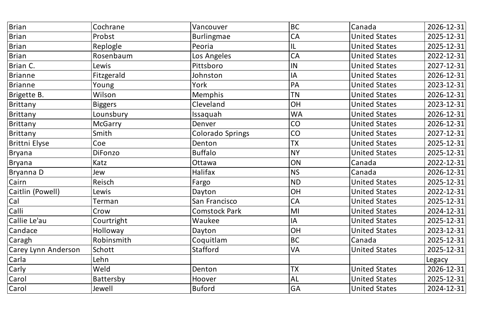| Brian                      | Cochrane       | Vancouver            | <b>BC</b> | Canada               | 2026-12-31 |
|----------------------------|----------------|----------------------|-----------|----------------------|------------|
| Brian                      | Probst         | Burlingmae           | <b>CA</b> | <b>United States</b> | 2025-12-31 |
| Brian                      | Replogle       | Peoria               | L         | <b>United States</b> | 2025-12-31 |
| Brian                      | Rosenbaum      | Los Angeles          | <b>CA</b> | <b>United States</b> | 2022-12-31 |
| Brian C.                   | Lewis          | Pittsboro            | IN        | <b>United States</b> | 2027-12-31 |
| Brianne                    | Fitzgerald     | Johnston             | IA        | <b>United States</b> | 2026-12-31 |
| Brianne                    | Young          | York                 | PA        | <b>United States</b> | 2023-12-31 |
| Brigette B.                | Wilson         | <b>Memphis</b>       | <b>TN</b> | <b>United States</b> | 2026-12-31 |
| Brittany                   | Biggers        | <b>Cleveland</b>     | <b>OH</b> | <b>United States</b> | 2023-12-31 |
| Brittany                   | Lounsbury      | Issaquah             | <b>WA</b> | <b>United States</b> | 2026-12-31 |
| Brittany                   | <b>McGarry</b> | Denver               | CO        | <b>United States</b> | 2026-12-31 |
| Brittany                   | Smith          | Colorado Springs     | CO        | <b>United States</b> | 2027-12-31 |
| Brittni Elyse              | Coe            | Denton               | <b>TX</b> | <b>United States</b> | 2025-12-31 |
| Bryana                     | DiFonzo        | <b>Buffalo</b>       | <b>NY</b> | <b>United States</b> | 2025-12-31 |
| Bryana                     | Katz           | Ottawa               | ON        | Canada               | 2022-12-31 |
| Bryanna D                  | Jew            | Halifax              | <b>NS</b> | Canada               | 2026-12-31 |
| Cairn                      | Reisch         | Fargo                | <b>ND</b> | <b>United States</b> | 2025-12-31 |
| Caitlin (Powell)           | Lewis          | Dayton               | <b>OH</b> | <b>United States</b> | 2022-12-31 |
| Cal                        | <b>Terman</b>  | San Francisco        | <b>CA</b> | <b>United States</b> | 2025-12-31 |
| Calli                      | Crow           | <b>Comstock Park</b> | MI        | <b>United States</b> | 2024-12-31 |
| Callie Le'au               | Courtright     | Waukee               | IA        | <b>United States</b> | 2025-12-31 |
| Candace                    | Holloway       | Dayton               | <b>OH</b> | <b>United States</b> | 2023-12-31 |
| Caragh                     | Robinsmith     | Coquitlam            | <b>BC</b> | Canada               | 2025-12-31 |
| <b>Carey Lynn Anderson</b> | Schott         | Stafford             | <b>VA</b> | <b>United States</b> | 2025-12-31 |
| Carla                      | Lehn           |                      |           |                      | Legacy     |
| <b>Carly</b>               | Weld           | Denton               | <b>TX</b> | <b>United States</b> | 2026-12-31 |
| Carol                      | Battersby      | Hoover               | <b>AL</b> | <b>United States</b> | 2025-12-31 |
| Carol                      | Jewell         | Buford               | <b>GA</b> | <b>United States</b> | 2024-12-31 |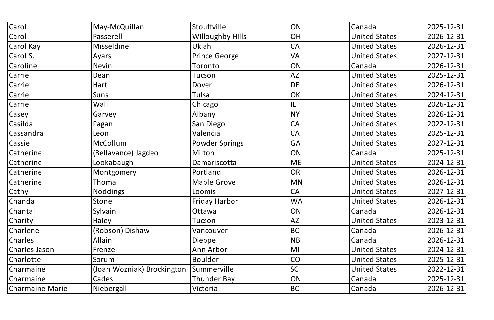| Carol           | May-McQuillan              | Stouffville             | ON        | Canada               | 2025-12-31 |
|-----------------|----------------------------|-------------------------|-----------|----------------------|------------|
| <b>Carol</b>    | Passerell                  | <b>Willoughby Hills</b> | OH        | <b>United States</b> | 2026-12-31 |
| Carol Kay       | <b>Misseldine</b>          | Ukiah                   | <b>CA</b> | <b>United States</b> | 2026-12-31 |
| Carol S.        | Ayars                      | <b>Prince George</b>    | <b>VA</b> | <b>United States</b> | 2027-12-31 |
| Caroline        | <b>Nevin</b>               | Toronto                 | ON        | Canada               | 2026-12-31 |
| Carrie          | Dean                       | Tucson                  | <b>AZ</b> | <b>United States</b> | 2025-12-31 |
| Carrie          | Hart                       | Dover                   | <b>DE</b> | <b>United States</b> | 2026-12-31 |
| Carrie          | Suns                       | Tulsa                   | OK        | <b>United States</b> | 2024-12-31 |
| Carrie          | Wall                       | Chicago                 | L         | <b>United States</b> | 2026-12-31 |
| <b>Casey</b>    | Garvey                     | Albany                  | <b>NY</b> | <b>United States</b> | 2026-12-31 |
| Casilda         | Pagan                      | San Diego               | <b>CA</b> | <b>United States</b> | 2022-12-31 |
| Cassandra       | Leon                       | Valencia                | <b>CA</b> | <b>United States</b> | 2025-12-31 |
| <b>Cassie</b>   | <b>McCollum</b>            | <b>Powder Springs</b>   | <b>GA</b> | <b>United States</b> | 2027-12-31 |
| Catherine       | (Bellavance) Jagdeo        | Milton                  | ON        | Canada               | 2025-12-31 |
| Catherine       | Lookabaugh                 | Damariscotta            | <b>ME</b> | <b>United States</b> | 2024-12-31 |
| Catherine       | Montgomery                 | Portland                | <b>OR</b> | <b>United States</b> | 2026-12-31 |
| Catherine       | Thoma                      | Maple Grove             | <b>MN</b> | <b>United States</b> | 2026-12-31 |
| Cathy           | Noddings                   | Loomis                  | <b>CA</b> | <b>United States</b> | 2027-12-31 |
| <b>Chanda</b>   | Stone                      | Friday Harbor           | WA        | <b>United States</b> | 2026-12-31 |
| Chantal         | Sylvain                    | Ottawa                  | ON        | Canada               | 2026-12-31 |
| Charity         | Haley                      | Tucson                  | <b>AZ</b> | <b>United States</b> | 2023-12-31 |
| Charlene        | (Robson) Dishaw            | Vancouver               | <b>BC</b> | Canada               | 2026-12-31 |
| Charles         | Allain                     | Dieppe                  | <b>NB</b> | Canada               | 2026-12-31 |
| Charles Jason   | Frenzel                    | Ann Arbor               | $\sf IMI$ | <b>United States</b> | 2024-12-31 |
| Charlotte       | Sorum                      | <b>Boulder</b>          | <b>CO</b> | <b>United States</b> | 2025-12-31 |
| Charmaine       | (Joan Wozniak) Brockington | Summerville             | <b>SC</b> | <b>United States</b> | 2022-12-31 |
| Charmaine       | Cades                      | Thunder Bay             | ON        | Canada               | 2025-12-31 |
| Charmaine Marie | Niebergall                 | Victoria                | BC        | Canada               | 2026-12-31 |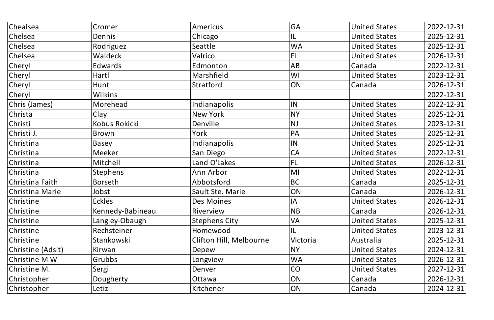| Chealsea          | Cromer           | Americus                | <b>GA</b>               | <b>United States</b> | 2022-12-31 |
|-------------------|------------------|-------------------------|-------------------------|----------------------|------------|
| Chelsea           | Dennis           | Chicago                 | L                       | <b>United States</b> | 2025-12-31 |
| <b>Chelsea</b>    | Rodriguez        | Seattle                 | <b>WA</b>               | <b>United States</b> | 2025-12-31 |
| <b>Chelsea</b>    | Waldeck          | Valrico                 | FL                      | <b>United States</b> | 2026-12-31 |
| Cheryl            | <b>Edwards</b>   | Edmonton                | AB                      | Canada               | 2022-12-31 |
| Cheryl            | Hartl            | Marshfield              | WI                      | <b>United States</b> | 2023-12-31 |
| Cheryl            | Hunt             | Stratford               | ON                      | Canada               | 2026-12-31 |
| Cheryl            | Wilkins          |                         |                         |                      | 2022-12-31 |
| Chris (James)     | Morehead         | Indianapolis            | IN                      | <b>United States</b> | 2022-12-31 |
| Christa           | Clay             | <b>New York</b>         | <b>NY</b>               | <b>United States</b> | 2025-12-31 |
| Christi           | Kobus Rokicki    | Denville                | <b>NJ</b>               | <b>United States</b> | 2023-12-31 |
| Christi J.        | Brown            | York                    | <b>PA</b>               | <b>United States</b> | 2025-12-31 |
| Christina         | Basey            | Indianapolis            | IN                      | <b>United States</b> | 2025-12-31 |
| Christina         | Meeker           | San Diego               | CA                      | <b>United States</b> | 2022-12-31 |
| Christina         | Mitchell         | Land O'Lakes            | FL                      | <b>United States</b> | 2026-12-31 |
| Christina         | Stephens         | Ann Arbor               | $\overline{\mathsf{M}}$ | <b>United States</b> | 2022-12-31 |
| Christina Faith   | <b>Borseth</b>   | Abbotsford              | <b>BC</b>               | Canada               | 2025-12-31 |
| Christina Marie   | Jobst            | <b>Sault Ste. Marie</b> | ON                      | Canada               | 2026-12-31 |
| Christine         | <b>Eckles</b>    | Des Moines              | $\mathsf{II}$           | United States        | 2026-12-31 |
| Christine         | Kennedy-Babineau | <b>Riverview</b>        | <b>NB</b>               | Canada               | 2026-12-31 |
| Christine         | Langley-Obaugh   | <b>Stephens City</b>    | <b>VA</b>               | <b>United States</b> | 2025-12-31 |
| Christine         | Rechsteiner      | Homewood                | L                       | <b>United States</b> | 2023-12-31 |
| Christine         | Stankowski       | Clifton Hill, Melbourne | Victoria                | Australia            | 2025-12-31 |
| Christine (Adsit) | Kirwan           | Depew                   | <b>NY</b>               | <b>United States</b> | 2024-12-31 |
| Christine M W     | Grubbs           | Longview                | <b>WA</b>               | <b>United States</b> | 2026-12-31 |
| Christine M.      | Sergi            | Denver                  | CO                      | <b>United States</b> | 2027-12-31 |
| Christopher       | Dougherty        | Ottawa                  | ON                      | Canada               | 2026-12-31 |
| Christopher       | Letizi           | Kitchener               | <b>ON</b>               | Canada               | 2024-12-31 |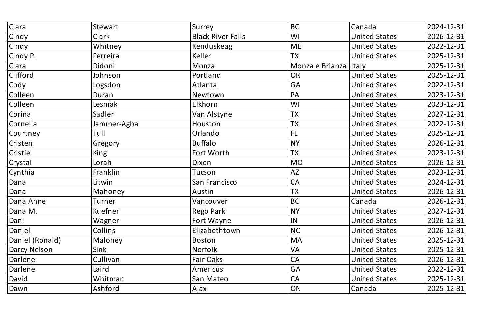| Ciara           | Stewart     | Surrey                   | BC                      | Canada               | 2024-12-31 |
|-----------------|-------------|--------------------------|-------------------------|----------------------|------------|
| Cindy           | Clark       | <b>Black River Falls</b> | WI                      | <b>United States</b> | 2026-12-31 |
| Cindy           | Whitney     | Kenduskeag               | <b>ME</b>               | <b>United States</b> | 2022-12-31 |
| Cindy P.        | Perreira    | Keller                   | <b>TX</b>               | <b>United States</b> | 2025-12-31 |
| Clara           | Didoni      | Monza                    | Monza e Brianza   Italy |                      | 2025-12-31 |
| Clifford        | Johnson     | Portland                 | <b>OR</b>               | <b>United States</b> | 2025-12-31 |
| Cody            | Logsdon     | Atlanta                  | <b>GA</b>               | <b>United States</b> | 2022-12-31 |
| Colleen         | Duran       | Newtown                  | PA                      | <b>United States</b> | 2023-12-31 |
| Colleen         | Lesniak     | Elkhorn                  | WI                      | <b>United States</b> | 2023-12-31 |
| Corina          | Sadler      | Van Alstyne              | <b>TX</b>               | <b>United States</b> | 2027-12-31 |
| Cornelia        | Jammer-Agba | Houston                  | <b>TX</b>               | <b>United States</b> | 2022-12-31 |
| Courtney        | Tull        | Orlando                  | FL                      | <b>United States</b> | 2025-12-31 |
| Cristen         | Gregory     | <b>Buffalo</b>           | <b>NY</b>               | <b>United States</b> | 2026-12-31 |
| Cristie         | <b>King</b> | Fort Worth               | <b>TX</b>               | <b>United States</b> | 2023-12-31 |
| Crystal         | Lorah       | Dixon                    | <b>MO</b>               | <b>United States</b> | 2026-12-31 |
| Cynthia         | Franklin    | Tucson                   | <b>AZ</b>               | <b>United States</b> | 2023-12-31 |
| Dana            | Litwin      | San Francisco            | <b>CA</b>               | <b>United States</b> | 2024-12-31 |
| Dana            | Mahoney     | Austin                   | <b>TX</b>               | <b>United States</b> | 2026-12-31 |
| Dana Anne       | Turner      | Vancouver                | <b>BC</b>               | Canada               | 2026-12-31 |
| Dana M.         | Kuefner     | Rego Park                | <b>NY</b>               | <b>United States</b> | 2027-12-31 |
| Dani            | Wagner      | Fort Wayne               | <b>IN</b>               | <b>United States</b> | 2026-12-31 |
| Daniel          | Collins     | Elizabethtown            | <b>NC</b>               | <b>United States</b> | 2026-12-31 |
| Daniel (Ronald) | Maloney     | Boston                   | <b>MA</b>               | <b>United States</b> | 2025-12-31 |
| Darcy Nelson    | Sink        | Norfolk                  | <b>VA</b>               | <b>United States</b> | 2025-12-31 |
| Darlene         | Cullivan    | <b>Fair Oaks</b>         | <b>CA</b>               | <b>United States</b> | 2026-12-31 |
| Darlene         | Laird       | Americus                 | <b>GA</b>               | <b>United States</b> | 2022-12-31 |
| David           | Whitman     | San Mateo                | <b>CA</b>               | <b>United States</b> | 2025-12-31 |
| Dawn            | Ashford     | Ajax                     | ON                      | Canada               | 2025-12-31 |
|                 |             |                          |                         |                      |            |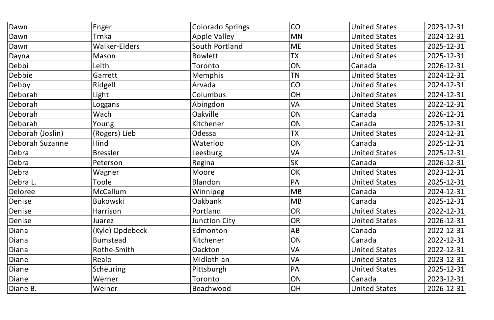| Dawn             | Enger           | <b>Colorado Springs</b> | CO                       | <b>United States</b> | 2023-12-31 |
|------------------|-----------------|-------------------------|--------------------------|----------------------|------------|
| Dawn             | Trnka           | <b>Apple Valley</b>     | <b>MN</b>                | <b>United States</b> | 2024-12-31 |
| Dawn             | Walker-Elders   | South Portland          | <b>ME</b>                | <b>United States</b> | 2025-12-31 |
| Dayna            | Mason           | Rowlett                 | <b>TX</b>                | <b>United States</b> | 2025-12-31 |
| Debbi            | Leith           | Toronto                 | ON                       | Canada               | 2026-12-31 |
| Debbie           | Garrett         | <b>Memphis</b>          | <b>TN</b>                | <b>United States</b> | 2024-12-31 |
| Debby            | Ridgell         | Arvada                  | CO                       | <b>United States</b> | 2024-12-31 |
| Deborah          | Light           | Columbus                | <b>OH</b>                | <b>United States</b> | 2024-12-31 |
| Deborah          | Loggans         | Abingdon                | VA                       | <b>United States</b> | 2022-12-31 |
| Deborah          | Wach            | <b>Oakville</b>         | ON                       | Canada               | 2026-12-31 |
| Deborah          | Young           | Kitchener               | ON                       | Canada               | 2025-12-31 |
| Deborah (Joslin) | (Rogers) Lieb   | Odessa                  | <b>TX</b>                | <b>United States</b> | 2024-12-31 |
| Deborah Suzanne  | Hind            | Waterloo                | ON                       | Canada               | 2025-12-31 |
| Debra            | <b>Bressler</b> | Leesburg                | VA                       | <b>United States</b> | 2025-12-31 |
| Debra            | Peterson        | Regina                  | <b>SK</b>                | Canada               | 2026-12-31 |
| Debra            | Wagner          | Moore                   | OK                       | <b>United States</b> | 2023-12-31 |
| Debra L.         | Toole           | Blandon                 | PA                       | <b>United States</b> | 2025-12-31 |
| Deloree          | McCallum        | Winnipeg                | <b>MB</b>                | Canada               | 2024-12-31 |
| Denise           | Bukowski        | Oakbank                 | $\overline{\mathsf{MB}}$ | Canada               | 2025-12-31 |
| Denise           | Harrison        | Portland                | <b>OR</b>                | <b>United States</b> | 2022-12-31 |
| Denise           | Juarez          | Junction City           | <b>OR</b>                | <b>United States</b> | 2026-12-31 |
| Diana            | (Kyle) Opdebeck | Edmonton                | AB                       | Canada               | 2022-12-31 |
| Diana            | <b>Bumstead</b> | Kitchener               | ON                       | Canada               | 2022-12-31 |
| Diana            | Rothe-Smith     | <b>Oackton</b>          | <b>VA</b>                | <b>United States</b> | 2022-12-31 |
| Diane            | Reale           | Midlothian              | VA                       | <b>United States</b> | 2023-12-31 |
| Diane            | Scheuring       | Pittsburgh              | PA                       | <b>United States</b> | 2025-12-31 |
| Diane            | Werner          | Toronto                 | ON                       | Canada               | 2023-12-31 |
| Diane B.         | Weiner          | Beachwood               | OH                       | <b>United States</b> | 2026-12-31 |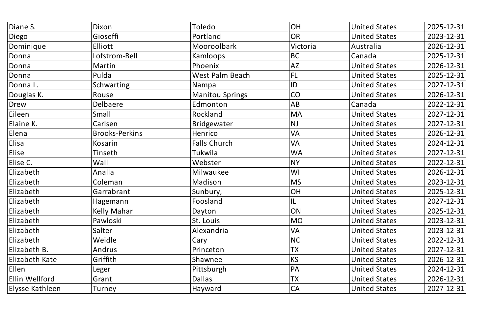| Diane S.        | Dixon                 | Toledo                 | OH            | <b>United States</b> | 2025-12-31 |
|-----------------|-----------------------|------------------------|---------------|----------------------|------------|
| Diego           | Gioseffi              | Portland               | <b>OR</b>     | <b>United States</b> | 2023-12-31 |
| Dominique       | Elliott               | <b>Mooroolbark</b>     | Victoria      | Australia            | 2026-12-31 |
| Donna           | Lofstrom-Bell         | <b>Kamloops</b>        | <b>BC</b>     | Canada               | 2025-12-31 |
| Donna           | Martin                | Phoenix                | <b>AZ</b>     | <b>United States</b> | 2026-12-31 |
| Donna           | Pulda                 | West Palm Beach        | FL            | <b>United States</b> | 2025-12-31 |
| Donna L.        | Schwarting            | Nampa                  | ID            | <b>United States</b> | 2027-12-31 |
| Douglas K.      | Rouse                 | <b>Manitou Springs</b> | CO            | <b>United States</b> | 2026-12-31 |
| Drew            | Delbaere              | Edmonton               | AB            | Canada               | 2022-12-31 |
| Eileen          | Small                 | Rockland               | <b>MA</b>     | <b>United States</b> | 2027-12-31 |
| Elaine K.       | Carlsen               | Bridgewater            | <b>NJ</b>     | <b>United States</b> | 2027-12-31 |
| Elena           | <b>Brooks-Perkins</b> | Henrico                | <b>VA</b>     | <b>United States</b> | 2026-12-31 |
| Elisa           | Kosarin               | <b>Falls Church</b>    | <b>VA</b>     | <b>United States</b> | 2024-12-31 |
| Elise           | Tinseth               | Tukwila                | <b>WA</b>     | <b>United States</b> | 2027-12-31 |
| Elise C.        | Wall                  | Webster                | <b>NY</b>     | <b>United States</b> | 2022-12-31 |
| Elizabeth       | Analla                | Milwaukee              | WI            | <b>United States</b> | 2026-12-31 |
| Elizabeth       | Coleman               | Madison                | <b>MS</b>     | <b>United States</b> | 2023-12-31 |
| Elizabeth       | Garrabrant            | Sunbury,               | OH            | <b>United States</b> | 2025-12-31 |
| Elizabeth       | Hagemann              | Foosland               | $\mathsf{UL}$ | United States        | 2027-12-31 |
| Elizabeth       | <b>Kelly Mahar</b>    | Dayton                 | ON            | <b>United States</b> | 2025-12-31 |
| Elizabeth       | Pawloski              | St. Louis              | <b>MO</b>     | <b>United States</b> | 2023-12-31 |
| Elizabeth       | Salter                | Alexandria             | <b>VA</b>     | <b>United States</b> | 2023-12-31 |
| Elizabeth       | Weidle                | Cary                   | NC            | <b>United States</b> | 2022-12-31 |
| Elizabeth B.    | Andrus                | Princeton              | <b>TX</b>     | <b>United States</b> | 2027-12-31 |
| Elizabeth Kate  | Griffith              | Shawnee                | <b>KS</b>     | <b>United States</b> | 2026-12-31 |
| Ellen           | Leger                 | Pittsburgh             | PA            | <b>United States</b> | 2024-12-31 |
| Ellin Wellford  | Grant                 | Dallas                 | <b>TX</b>     | <b>United States</b> | 2026-12-31 |
| Elysse Kathleen | Turney                | Hayward                | <b>CA</b>     | <b>United States</b> | 2027-12-31 |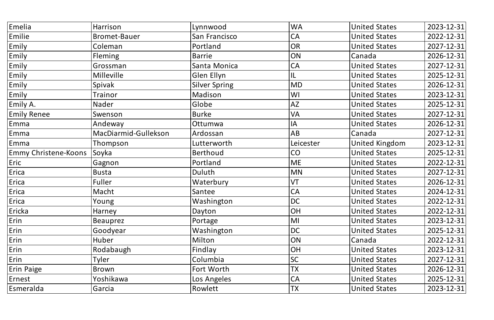| Emelia                      | Harrison             | Lynnwood             | <b>WA</b> | <b>United States</b> | 2023-12-31 |
|-----------------------------|----------------------|----------------------|-----------|----------------------|------------|
| Emilie                      | <b>Bromet-Bauer</b>  | San Francisco        | <b>CA</b> | <b>United States</b> | 2022-12-31 |
| Emily                       | Coleman              | Portland             | <b>OR</b> | <b>United States</b> | 2027-12-31 |
| Emily                       | <b>Fleming</b>       | <b>Barrie</b>        | ON        | Canada               | 2026-12-31 |
| Emily                       | Grossman             | Santa Monica         | CA        | <b>United States</b> | 2027-12-31 |
| Emily                       | <b>Milleville</b>    | Glen Ellyn           | IL        | <b>United States</b> | 2025-12-31 |
| Emily                       | 'Spivak              | <b>Silver Spring</b> | <b>MD</b> | <b>United States</b> | 2026-12-31 |
| Emily                       | Trainor              | Madison              | WI        | <b>United States</b> | 2023-12-31 |
| Emily A.                    | Nader                | Globe                | <b>AZ</b> | <b>United States</b> | 2025-12-31 |
| <b>Emily Renee</b>          | Swenson              | <b>Burke</b>         | <b>VA</b> | <b>United States</b> | 2027-12-31 |
| Emma                        | Andeway              | Ottumwa              | IA        | <b>United States</b> | 2026-12-31 |
| Emma                        | MacDiarmid-Gullekson | Ardossan             | AB        | Canada               | 2027-12-31 |
| Emma                        | Thompson             | Lutterworth          | Leicester | United Kingdom       | 2023-12-31 |
| <b>Emmy Christene-Koons</b> | Soyka                | <b>Berthoud</b>      | CO        | <b>United States</b> | 2025-12-31 |
| Eric                        | Gagnon               | Portland             | <b>ME</b> | <b>United States</b> | 2022-12-31 |
| Erica                       | <b>Busta</b>         | Duluth               | <b>MN</b> | <b>United States</b> | 2027-12-31 |
| Erica                       | Fuller               | Waterbury            | VT        | <b>United States</b> | 2026-12-31 |
| Erica                       | Macht                | Santee               | <b>CA</b> | <b>United States</b> | 2024-12-31 |
| Erica                       | <b>Young</b>         | <b>Washington</b>    | DC        | <b>United States</b> | 2022-12-31 |
| Ericka                      | <b>Harney</b>        | Dayton               | OH        | <b>United States</b> | 2022-12-31 |
| Erin                        | Beauprez             | Portage              | MI        | <b>United States</b> | 2023-12-31 |
| Erin                        | Goodyear             | Washington           | <b>DC</b> | <b>United States</b> | 2025-12-31 |
| Erin                        | Huber                | Milton               | ON        | Canada               | 2022-12-31 |
| Erin                        | Rodabaugh            | Findlay              | OH        | <b>United States</b> | 2023-12-31 |
| Erin                        | Tyler                | Columbia             | <b>SC</b> | <b>United States</b> | 2027-12-31 |
| <b>Erin Paige</b>           | Brown                | Fort Worth           | <b>TX</b> | <b>United States</b> | 2026-12-31 |
| Ernest                      | Yoshikawa            | Los Angeles          | <b>CA</b> | <b>United States</b> | 2025-12-31 |
| Esmeralda                   | Garcia               | Rowlett              | <b>TX</b> | <b>United States</b> | 2023-12-31 |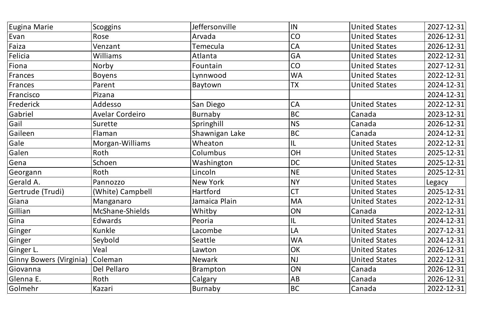| Scoggins               | Jeffersonville | IN        | <b>United States</b> | 2027-12-31 |
|------------------------|----------------|-----------|----------------------|------------|
| Rose                   | Arvada         | CO        | <b>United States</b> | 2026-12-31 |
| Venzant                | Temecula       | <b>CA</b> | <b>United States</b> | 2026-12-31 |
| Williams               | Atlanta        | <b>GA</b> | <b>United States</b> | 2022-12-31 |
| Norby                  | Fountain       | CO        | <b>United States</b> | 2027-12-31 |
| <b>Boyens</b>          | Lynnwood       | <b>WA</b> | <b>United States</b> | 2022-12-31 |
| Parent                 | Baytown        | <b>TX</b> | <b>United States</b> | 2024-12-31 |
| Pizana                 |                |           |                      | 2024-12-31 |
| Addesso                | San Diego      | <b>CA</b> | <b>United States</b> | 2022-12-31 |
| <b>Avelar Cordeiro</b> | Burnaby        | <b>BC</b> | Canada               | 2023-12-31 |
| Surette                | Springhill     | <b>NS</b> | Canada               | 2026-12-31 |
| Flaman                 | Shawnigan Lake | <b>BC</b> | Canada               | 2024-12-31 |
| Morgan-Williams        | Wheaton        | IL        | <b>United States</b> | 2022-12-31 |
| Roth                   | Columbus       | OH        | <b>United States</b> | 2025-12-31 |
| Schoen                 | Washington     | <b>DC</b> | <b>United States</b> | 2025-12-31 |
| Roth                   | Lincoln        | <b>NE</b> | <b>United States</b> | 2025-12-31 |
| Pannozzo               | New York       | <b>NY</b> | <b>United States</b> | Legacy     |
| (White) Campbell       | Hartford       | <b>CT</b> | <b>United States</b> | 2025-12-31 |
| Manganaro              | Jamaica Plain  | MA        | <b>United States</b> | 2022-12-31 |
| McShane-Shields        | Whitby         | ON        | Canada               | 2022-12-31 |
| Edwards                | Peoria         | L         | <b>United States</b> | 2024-12-31 |
| Kunkle                 | Lacombe        | LA        | <b>United States</b> | 2027-12-31 |
| Seybold                | Seattle        | <b>WA</b> | <b>United States</b> | 2024-12-31 |
| Veal                   | Lawton         | OK        | <b>United States</b> | 2026-12-31 |
| Coleman                | Newark         | <b>NJ</b> | <b>United States</b> | 2022-12-31 |
| Del Pellaro            | Brampton       | ON        | Canada               | 2026-12-31 |
| Roth                   | Calgary        | AB        | Canada               | 2026-12-31 |
| Kazari                 | Burnaby        | BC        | Canada               | 2022-12-31 |
|                        |                |           |                      |            |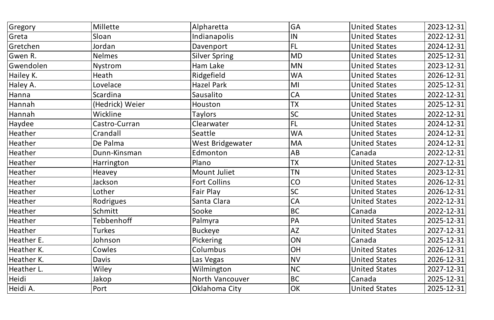| Gregory    | Millette        | Alpharetta             | <b>GA</b> | <b>United States</b> | 2023-12-31 |
|------------|-----------------|------------------------|-----------|----------------------|------------|
| Greta      | Sloan           | Indianapolis           | IN        | <b>United States</b> | 2022-12-31 |
| Gretchen   | Jordan          | Davenport              | FL        | <b>United States</b> | 2024-12-31 |
| Gwen R.    | <b>Nelmes</b>   | <b>Silver Spring</b>   | <b>MD</b> | <b>United States</b> | 2025-12-31 |
| Gwendolen  | <b>Nystrom</b>  | Ham Lake               | <b>MN</b> | <b>United States</b> | 2023-12-31 |
| Hailey K.  | Heath           | Ridgefield             | <b>WA</b> | <b>United States</b> | 2026-12-31 |
| Haley A.   | Lovelace        | Hazel Park             | MI        | <b>United States</b> | 2025-12-31 |
| Hanna      | Scardina        | Sausalito              | <b>CA</b> | <b>United States</b> | 2022-12-31 |
| Hannah     | (Hedrick) Weier | Houston                | <b>TX</b> | <b>United States</b> | 2025-12-31 |
| Hannah     | Wickline        | Taylors                | SC        | <b>United States</b> | 2022-12-31 |
| Haydee     | Castro-Curran   | Clearwater             | FL        | <b>United States</b> | 2024-12-31 |
| Heather    | Crandall        | Seattle                | <b>WA</b> | <b>United States</b> | 2024-12-31 |
| Heather    | De Palma        | West Bridgewater       | <b>MA</b> | <b>United States</b> | 2024-12-31 |
| Heather    | Dunn-Kinsman    | Edmonton               | <b>AB</b> | Canada               | 2022-12-31 |
| Heather    | Harrington      | Plano                  | <b>TX</b> | <b>United States</b> | 2027-12-31 |
| Heather    | <b>Heavey</b>   | Mount Juliet           | <b>TN</b> | <b>United States</b> | 2023-12-31 |
| Heather    | Jackson         | <b>Fort Collins</b>    | CO        | <b>United States</b> | 2026-12-31 |
| Heather    | Lother          | Fair Play              | SC        | <b>United States</b> | 2026-12-31 |
| Heather    | Rodrigues       | Santa Clara            | <b>CA</b> | United States        | 2022-12-31 |
| Heather    | Schmitt         | Sooke                  | <b>BC</b> | Canada               | 2022-12-31 |
| Heather    | Tebbenhoff      | Palmyra                | PA        | <b>United States</b> | 2025-12-31 |
| Heather    | Turkes          | Buckeye                | <b>AZ</b> | <b>United States</b> | 2027-12-31 |
| Heather E. | Johnson         | Pickering              | ON        | Canada               | 2025-12-31 |
| Heather K. | Cowles          | Columbus               | OH        | <b>United States</b> | 2026-12-31 |
| Heather K. | Davis           | Las Vegas              | <b>NV</b> | <b>United States</b> | 2026-12-31 |
| Heather L. | Wiley           | Wilmington             | <b>NC</b> | <b>United States</b> | 2027-12-31 |
| Heidi      | Jakop           | <b>North Vancouver</b> | BC        | Canada               | 2025-12-31 |
| Heidi A.   | Port            | Oklahoma City          | OK        | United States        | 2025-12-31 |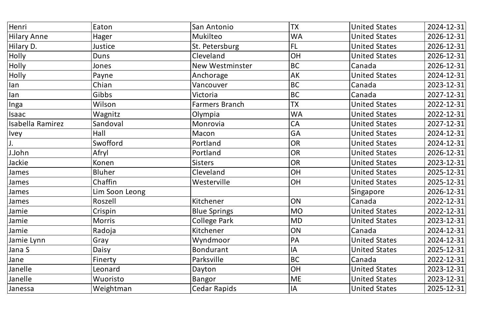| Henri            | Eaton          | San Antonio            | <b>TX</b> | <b>United States</b> | 2024-12-31 |
|------------------|----------------|------------------------|-----------|----------------------|------------|
| Hilary Anne      | Hager          | Mukilteo               | <b>WA</b> | <b>United States</b> | 2026-12-31 |
| Hilary D.        | Justice        | St. Petersburg         | <b>FL</b> | <b>United States</b> | 2026-12-31 |
| Holly            | Duns           | <b>Cleveland</b>       | OH        | <b>United States</b> | 2026-12-31 |
| Holly            | Jones          | <b>New Westminster</b> | <b>BC</b> | Canada               | 2026-12-31 |
| Holly            | Payne          | Anchorage              | AK        | <b>United States</b> | 2024-12-31 |
| lan              | Chian          | Vancouver              | <b>BC</b> | Canada               | 2023-12-31 |
| lan              | Gibbs          | Victoria               | <b>BC</b> | Canada               | 2027-12-31 |
| Inga             | Wilson         | <b>Farmers Branch</b>  | <b>TX</b> | <b>United States</b> | 2022-12-31 |
| Isaac            | Wagnitz        | Olympia                | <b>WA</b> | <b>United States</b> | 2022-12-31 |
| Isabella Ramirez | Sandoval       | Monrovia               | <b>CA</b> | <b>United States</b> | 2027-12-31 |
| Ivey             | Hall           | Macon                  | GA        | <b>United States</b> | 2024-12-31 |
| J.               | Swofford       | Portland               | <b>OR</b> | <b>United States</b> | 2024-12-31 |
| J.John           | Afryl          | Portland               | <b>OR</b> | <b>United States</b> | 2026-12-31 |
| Jackie           | Konen          | <b>Sisters</b>         | OR        | <b>United States</b> | 2023-12-31 |
| James            | <b>Bluher</b>  | <b>Cleveland</b>       | OH        | <b>United States</b> | 2025-12-31 |
| James            | Chaffin        | Westerville            | OH        | <b>United States</b> | 2025-12-31 |
| James            | Lim Soon Leong |                        |           | Singapore            | 2026-12-31 |
| James            | Roszell        | Kitchener              | ON        | Canada               | 2022-12-31 |
| Jamie            | Crispin        | <b>Blue Springs</b>    | <b>MO</b> | <b>United States</b> | 2022-12-31 |
| Jamie            | <b>Morris</b>  | <b>College Park</b>    | <b>MD</b> | <b>United States</b> | 2023-12-31 |
| Jamie            | Radoja         | Kitchener              | ON        | Canada               | 2024-12-31 |
| Jamie Lynn       | Gray           | Wyndmoor               | PA        | <b>United States</b> | 2024-12-31 |
| Jana S           | Daisy          | Bondurant              | IA        | <b>United States</b> | 2025-12-31 |
| Jane             | Finerty        | Parksville             | <b>BC</b> | Canada               | 2022-12-31 |
| Janelle          | Leonard        | Dayton                 | OH        | <b>United States</b> | 2023-12-31 |
| <b>Janelle</b>   | Wuoristo       | Bangor                 | <b>ME</b> | <b>United States</b> | 2023-12-31 |
| <b>Janessa</b>   | Weightman      | <b>Cedar Rapids</b>    | IA        | <b>United States</b> | 2025-12-31 |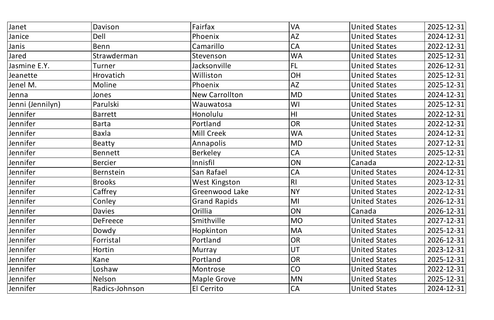| Janet            | Davison          | Fairfax               | <b>VA</b> | <b>United States</b> | 2025-12-31 |
|------------------|------------------|-----------------------|-----------|----------------------|------------|
| Janice           | Dell             | Phoenix               | <b>AZ</b> | <b>United States</b> | 2024-12-31 |
| Janis            | Benn             | Camarillo             | <b>CA</b> | <b>United States</b> | 2022-12-31 |
| Jared            | Strawderman      | Stevenson             | <b>WA</b> | <b>United States</b> | 2025-12-31 |
| Jasmine E.Y.     | Turner           | Jacksonville          | FL        | <b>United States</b> | 2026-12-31 |
| Jeanette         | <b>Hrovatich</b> | Williston             | OH        | <b>United States</b> | 2025-12-31 |
| Jenel M.         | Moline           | Phoenix               | <b>AZ</b> | <b>United States</b> | 2025-12-31 |
| Jenna            | Jones            | <b>New Carrollton</b> | <b>MD</b> | <b>United States</b> | 2024-12-31 |
| Jenni (Jennilyn) | Parulski         | Wauwatosa             | WI        | <b>United States</b> | 2025-12-31 |
| Jennifer         | <b>Barrett</b>   | Honolulu              | HI        | <b>United States</b> | 2022-12-31 |
| Jennifer         | <b>Barta</b>     | Portland              | OR        | <b>United States</b> | 2022-12-31 |
| Jennifer         | Baxla            | Mill Creek            | <b>WA</b> | <b>United States</b> | 2024-12-31 |
| Jennifer         | <b>Beatty</b>    | Annapolis             | <b>MD</b> | <b>United States</b> | 2027-12-31 |
| Jennifer         | <b>Bennett</b>   | <b>Berkeley</b>       | CA        | <b>United States</b> | 2025-12-31 |
| Jennifer         | <b>Bercier</b>   | Innisfil              | ON        | Canada               | 2022-12-31 |
| Jennifer         | <b>Bernstein</b> | San Rafael            | <b>CA</b> | <b>United States</b> | 2024-12-31 |
| Jennifer         | <b>Brooks</b>    | <b>West Kingston</b>  | R         | <b>United States</b> | 2023-12-31 |
| Jennifer         | Caffrey          | Greenwood Lake        | <b>NY</b> | <b>United States</b> | 2022-12-31 |
| Jennifer         | Conley           | <b>Grand Rapids</b>   | M         | United States        | 2026-12-31 |
| Jennifer         | <b>Davies</b>    | Orillia               | ON        | 'Canada              | 2026-12-31 |
| Jennifer         | <b>DeFreece</b>  | Smithville            | <b>MO</b> | <b>United States</b> | 2027-12-31 |
| Jennifer         | Dowdy            | Hopkinton             | <b>MA</b> | <b>United States</b> | 2025-12-31 |
| Jennifer         | Forristal        | Portland              | OR        | <b>United States</b> | 2026-12-31 |
| Jennifer         | Hortin           | Murray                | UT        | <b>United States</b> | 2023-12-31 |
| Jennifer         | Kane             | Portland              | OR        | <b>United States</b> | 2025-12-31 |
| Jennifer         | Loshaw           | Montrose              | CO        | <b>United States</b> | 2022-12-31 |
| Jennifer         | Nelson           | <b>Maple Grove</b>    | <b>MN</b> | <b>United States</b> | 2025-12-31 |
| Jennifer         | Radics-Johnson   | El Cerrito            | CA        | <b>United States</b> | 2024-12-31 |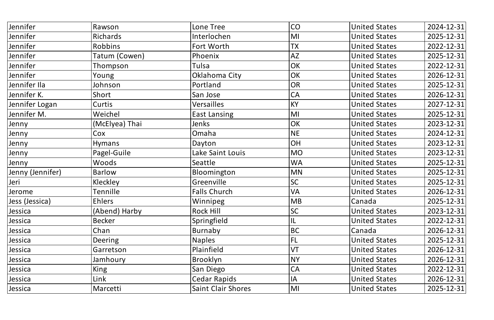| Jennifer         | Rawson         | Lone Tree           | CO                     | <b>United States</b> | 2024-12-31 |
|------------------|----------------|---------------------|------------------------|----------------------|------------|
| Jennifer         | Richards       | Interlochen         | M                      | <b>United States</b> | 2025-12-31 |
| Jennifer         | Robbins        | Fort Worth          | <b>TX</b>              | <b>United States</b> | 2022-12-31 |
| Jennifer         | Tatum (Cowen)  | Phoenix             | AZ                     | <b>United States</b> | 2025-12-31 |
| Jennifer         | Thompson       | Tulsa               | OK                     | <b>United States</b> | 2022-12-31 |
| Jennifer         | Young          | Oklahoma City       | OK                     | <b>United States</b> | 2026-12-31 |
| Jennifer Ila     | Johnson        | Portland            | OR                     | <b>United States</b> | 2025-12-31 |
| Jennifer K.      | Short          | San Jose            | <b>CA</b>              | <b>United States</b> | 2026-12-31 |
| Jennifer Logan   | Curtis         | Versailles          | KY                     | <b>United States</b> | 2027-12-31 |
| Jennifer M.      | Weichel        | <b>East Lansing</b> | $\mathsf{M}\mathsf{l}$ | <b>United States</b> | 2025-12-31 |
| Jenny            | (McElyea) Thai | Jenks               | OK                     | <b>United States</b> | 2023-12-31 |
| Jenny            | Cox            | Omaha               | NE)                    | <b>United States</b> | 2024-12-31 |
| Jenny            | <b>Hymans</b>  | Dayton              | OH                     | <b>United States</b> | 2023-12-31 |
| Jenny            | Pagel-Guile    | Lake Saint Louis    | <b>MO</b>              | <b>United States</b> | 2023-12-31 |
| Jenny            | Woods          | Seattle             | <b>WA</b>              | <b>United States</b> | 2025-12-31 |
| Jenny (Jennifer) | Barlow         | Bloomington         | MN                     | <b>United States</b> | 2025-12-31 |
| Jeri             | Kleckley       | Greenville          | <b>SC</b>              | <b>United States</b> | 2025-12-31 |
| Jerome           | Tennille       | <b>Falls Church</b> | <b>VA</b>              | <b>United States</b> | 2026-12-31 |
| Jess (Jessica)   | Ehlers         | Winnipeg            | $\vert$ MB             | Canada               | 2025-12-31 |
| Jessica          | (Abend) Harby  | <b>Rock Hill</b>    | <b>SC</b>              | <b>United States</b> | 2023-12-31 |
| <b>Iessica</b>   | Becker         | Springfield         | 1L                     | <b>United States</b> | 2022-12-31 |
| Jessica          | Chan           | Burnaby             | BC                     | Canada               | 2026-12-31 |
| <b>Jessica</b>   | Deering        | <b>Naples</b>       | $\sf FL$               | <b>United States</b> | 2025-12-31 |
| <b>IJessica</b>  | Garretson      | Plainfield          | VT                     | <b>United States</b> | 2026-12-31 |
| <b>Jessica</b>   | Jamhoury       | Brooklyn            | NY                     | <b>United States</b> | 2026-12-31 |
| Jessica          | King           | San Diego           | <b>CA</b>              | <b>United States</b> | 2022-12-31 |
| 'Jessica         | Link           | <b>Cedar Rapids</b> | A                      | <b>United States</b> | 2026-12-31 |
| <b>Jessica</b>   | Marcetti       | Saint Clair Shores  | $\mathsf{M}\mathsf{I}$ | <b>United States</b> | 2025-12-31 |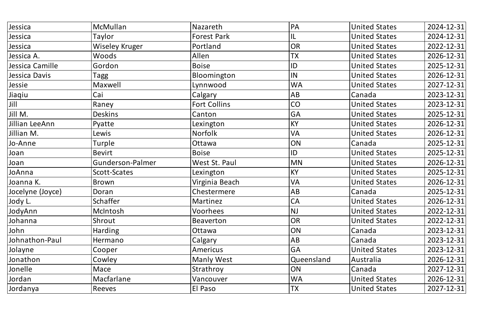| Jessica          | McMullan              | Nazareth            | PA             | <b>United States</b> | 2024-12-31 |
|------------------|-----------------------|---------------------|----------------|----------------------|------------|
| Jessica          | Taylor                | <b>Forest Park</b>  | IL             | <b>United States</b> | 2024-12-31 |
| Jessica          | <b>Wiseley Kruger</b> | Portland            | OR             | <b>United States</b> | 2022-12-31 |
| Jessica A.       | Woods                 | Allen               | <b>TX</b>      | <b>United States</b> | 2026-12-31 |
| Jessica Camille  | Gordon                | <b>Boise</b>        | ID             | <b>United States</b> | 2025-12-31 |
| Jessica Davis    | Tagg                  | Bloomington         | IN             | <b>United States</b> | 2026-12-31 |
| Jessie           | Maxwell               | Lynnwood            | <b>WA</b>      | <b>United States</b> | 2027-12-31 |
| Jiaqiu           | Cai                   | Calgary             | AB             | Canada               | 2023-12-31 |
| $ J$ ill         | Raney                 | <b>Fort Collins</b> | CO             | <b>United States</b> | 2023-12-31 |
| Jill M.          | <b>Deskins</b>        | Canton              | GA             | <b>United States</b> | 2025-12-31 |
| Jillian LeeAnn   | Pyatte                | Lexington           | <b>KY</b>      | <b>United States</b> | 2026-12-31 |
| Jillian M.       | Lewis                 | <b>Norfolk</b>      | VA             | <b>United States</b> | 2026-12-31 |
| Jo-Anne          | Turple                | Ottawa              | ON             | Canada               | 2025-12-31 |
| Joan             | <b>Bevirt</b>         | <b>Boise</b>        | ID             | <b>United States</b> | 2025-12-31 |
| Joan             | Gunderson-Palmer      | West St. Paul       | <b>MN</b>      | <b>United States</b> | 2026-12-31 |
| JoAnna           | Scott-Scates          | Lexington           | KY             | <b>United States</b> | 2025-12-31 |
| Joanna K.        | Brown                 | Virginia Beach      | VA             | <b>United States</b> | 2026-12-31 |
| Jocelyne (Joyce) | Doran                 | Chestermere         | AB             | Canada               | 2025-12-31 |
| Jody L.          | Schaffer              | Martinez            | $\mathsf{ICA}$ | <b>United States</b> | 2026-12-31 |
| JodyAnn          | McIntosh              | Voorhees            | <b>NJ</b>      | <b>United States</b> | 2022-12-31 |
| Johanna          | Shrout                | <b>Beaverton</b>    | OR             | <b>United States</b> | 2022-12-31 |
| John             | Harding               | Ottawa              | ON             | Canada               | 2023-12-31 |
| Johnathon-Paul   | Hermano               | Calgary             | AB             | Canada               | 2023-12-31 |
| Jolayne          | Cooper                | Americus            | <b>GA</b>      | <b>United States</b> | 2023-12-31 |
| Jonathon         | Cowley                | <b>Manly West</b>   | Queensland     | Australia            | 2026-12-31 |
| Jonelle          | Mace                  | Strathroy           | ON             | Canada               | 2027-12-31 |
| Jordan           | Macfarlane            | Vancouver           | <b>WA</b>      | <b>United States</b> | 2026-12-31 |
| Jordanya         | Reeves                | El Paso             | <b>TX</b>      | <b>United States</b> | 2027-12-31 |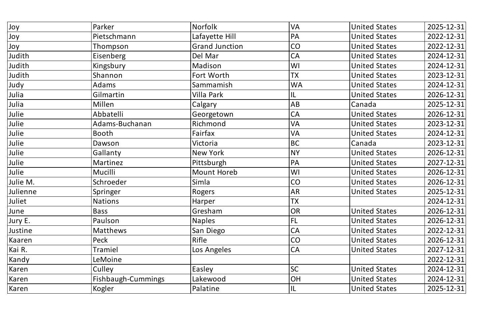| Joy            | Parker             | Norfolk               | <b>VA</b> | <b>United States</b> | 2025-12-31 |
|----------------|--------------------|-----------------------|-----------|----------------------|------------|
| Joy            | Pietschmann        | Lafayette Hill        | PA        | <b>United States</b> | 2022-12-31 |
| Joy            | Thompson           | <b>Grand Junction</b> | CO        | <b>United States</b> | 2022-12-31 |
| Judith         | Eisenberg          | Del Mar               | <b>CA</b> | <b>United States</b> | 2024-12-31 |
| Judith         | Kingsbury          | Madison               | WI        | <b>United States</b> | 2024-12-31 |
| Judith         | Shannon            | Fort Worth            | <b>TX</b> | <b>United States</b> | 2023-12-31 |
| Judy           | Adams              | Sammamish             | <b>WA</b> | <b>United States</b> | 2024-12-31 |
| Julia          | Gilmartin          | Villa Park            | IL        | <b>United States</b> | 2026-12-31 |
| Julia          | Millen             | Calgary               | AB        | Canada               | 2025-12-31 |
| Julie          | Abbatelli          | Georgetown            | <b>CA</b> | <b>United States</b> | 2026-12-31 |
| Julie          | Adams-Buchanan     | Richmond              | VA        | <b>United States</b> | 2023-12-31 |
| Julie          | Booth              | Fairfax               | <b>VA</b> | <b>United States</b> | 2024-12-31 |
| Julie          | Dawson             | Victoria              | <b>BC</b> | Canada               | 2023-12-31 |
| Julie          | Gallanty           | New York              | <b>NY</b> | <b>United States</b> | 2026-12-31 |
| Julie          | Martinez           | Pittsburgh            | PA        | <b>United States</b> | 2027-12-31 |
| Julie          | Mucilli            | Mount Horeb           | WI        | <b>United States</b> | 2026-12-31 |
| Julie M.       | Schroeder          | Simla                 | CO        | <b>United States</b> | 2026-12-31 |
| Julienne       | Springer           | Rogers                | <b>AR</b> | <b>United States</b> | 2025-12-31 |
| Juliet         | Nations            | <b>Harper</b>         | <b>TX</b> |                      | 2024-12-31 |
| June           | Bass               | Gresham               | <b>OR</b> | <b>United States</b> | 2026-12-31 |
| Jury E.        | Paulson            | <b>Naples</b>         | FL        | <b>United States</b> | 2026-12-31 |
| <b>Justine</b> | <b>Matthews</b>    | San Diego             | <b>CA</b> | <b>United States</b> | 2022-12-31 |
| Kaaren         | Peck               | Rifle                 | CO        | <b>United States</b> | 2026-12-31 |
| Kai R.         | Tramiel            | Los Angeles           | <b>CA</b> | <b>United States</b> | 2027-12-31 |
| Kandy          | LeMoine            |                       |           |                      | 2022-12-31 |
| Karen          | Culley             | Easley                | <b>SC</b> | <b>United States</b> | 2024-12-31 |
| Karen          | Fishbaugh-Cummings | Lakewood              | <b>OH</b> | <b>United States</b> | 2024-12-31 |
| Karen          | Kogler             | Palatine              | I         | <b>United States</b> | 2025-12-31 |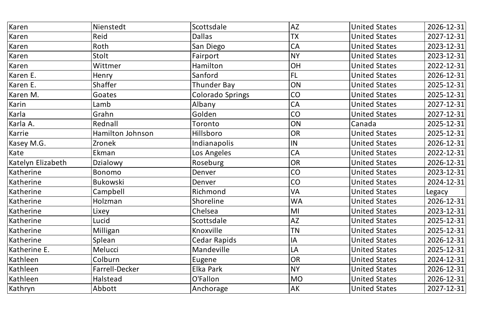| Karen             | Nienstedt        | Scottsdale              | <b>AZ</b> | <b>United States</b> | 2026-12-31 |
|-------------------|------------------|-------------------------|-----------|----------------------|------------|
| Karen             | Reid             | Dallas                  | <b>TX</b> | <b>United States</b> | 2027-12-31 |
| Karen             | Roth             | San Diego               | CA        | <b>United States</b> | 2023-12-31 |
| Karen             | Stolt            | Fairport                | <b>NY</b> | <b>United States</b> | 2023-12-31 |
| Karen             | Wittmer          | Hamilton                | OH        | <b>United States</b> | 2022-12-31 |
| Karen E.          | Henry            | Sanford                 | FL        | <b>United States</b> | 2026-12-31 |
| Karen E.          | <b>Shaffer</b>   | <b>Thunder Bay</b>      | ON        | <b>United States</b> | 2025-12-31 |
| Karen M.          | Goates           | <b>Colorado Springs</b> | CO        | <b>United States</b> | 2025-12-31 |
| Karin             | Lamb             | Albany                  | <b>CA</b> | <b>United States</b> | 2027-12-31 |
| Karla             | Grahn            | Golden                  | CO        | <b>United States</b> | 2027-12-31 |
| Karla A.          | Rednall          | Toronto                 | ON        | Canada               | 2025-12-31 |
| Karrie            | Hamilton Johnson | Hillsboro               | <b>OR</b> | <b>United States</b> | 2025-12-31 |
| Kasey M.G.        | Zronek           | Indianapolis            | IN        | <b>United States</b> | 2026-12-31 |
| Kate              | Ekman            | Los Angeles             | CA        | <b>United States</b> | 2022-12-31 |
| Katelyn Elizabeth | Dzialowy         | Roseburg                | OR        | <b>United States</b> | 2026-12-31 |
| Katherine         | Bonomo           | Denver                  | <b>CO</b> | <b>United States</b> | 2023-12-31 |
| Katherine         | <b>Bukowski</b>  | Denver                  | <b>CO</b> | <b>United States</b> | 2024-12-31 |
| Katherine         | Campbell         | Richmond                | <b>VA</b> | <b>United States</b> | Legacy     |
| Katherine         | Holzman          | Shoreline               | <b>WA</b> | United States        | 2026-12-31 |
| Katherine         | Lixey            | Chelsea                 | MI        | <b>United States</b> | 2023-12-31 |
| Katherine         | Lucid            | Scottsdale              | <b>AZ</b> | <b>United States</b> | 2025-12-31 |
| Katherine         | Milligan         | Knoxville               | <b>TN</b> | <b>United States</b> | 2025-12-31 |
| Katherine         | Splean           | Cedar Rapids            | IA        | <b>United States</b> | 2026-12-31 |
| Katherine E.      | Melucci          | Mandeville              | LA        | <b>United States</b> | 2025-12-31 |
| Kathleen          | Colburn          | Eugene                  | <b>OR</b> | <b>United States</b> | 2024-12-31 |
| Kathleen          | Farrell-Decker   | Elka Park               | <b>NY</b> | <b>United States</b> | 2026-12-31 |
| Kathleen          | Halstead         | O'Fallon                | <b>MO</b> | <b>United States</b> | 2026-12-31 |
| Kathryn           | Abbott           | Anchorage               | AK        | <b>United States</b> | 2027-12-31 |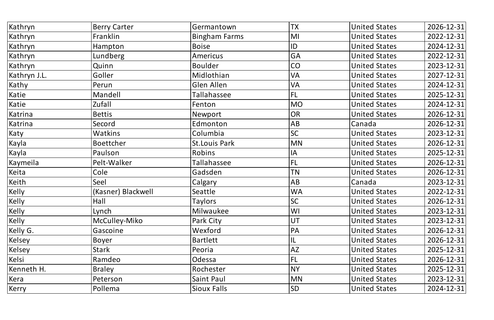| Kathryn      | <b>Berry Carter</b> | Germantown           | <b>TX</b> | <b>United States</b> | 2026-12-31 |
|--------------|---------------------|----------------------|-----------|----------------------|------------|
| Kathryn      | Franklin            | <b>Bingham Farms</b> | M         | <b>United States</b> | 2022-12-31 |
| Kathryn      | Hampton             | <b>Boise</b>         | ID        | <b>United States</b> | 2024-12-31 |
| Kathryn      | Lundberg            | Americus             | <b>GA</b> | <b>United States</b> | 2022-12-31 |
| Kathryn      | Quinn               | <b>Boulder</b>       | <b>CO</b> | <b>United States</b> | 2023-12-31 |
| Kathryn J.L. | Goller              | Midlothian           | <b>VA</b> | <b>United States</b> | 2027-12-31 |
| Kathy        | Perun               | Glen Allen           | <b>VA</b> | <b>United States</b> | 2024-12-31 |
| Katie        | Mandell             | Tallahassee          | FL        | <b>United States</b> | 2025-12-31 |
| Katie        | Zufall              | Fenton               | MO        | <b>United States</b> | 2024-12-31 |
| Katrina      | <b>Bettis</b>       | Newport              | OR        | <b>United States</b> | 2026-12-31 |
| Katrina      | Secord              | Edmonton             | AB        | Canada               | 2026-12-31 |
| Katy         | <b>Watkins</b>      | Columbia             | <b>SC</b> | <b>United States</b> | 2023-12-31 |
| Kayla        | <b>Boettcher</b>    | <b>St.Louis Park</b> | MN        | <b>United States</b> | 2026-12-31 |
| Kayla        | Paulson             | Robins               | IA        | <b>United States</b> | 2025-12-31 |
| Kaymeila     | Pelt-Walker         | Tallahassee          | FL        | <b>United States</b> | 2026-12-31 |
| Keita        | Cole                | Gadsden              | TN        | <b>United States</b> | 2026-12-31 |
| Keith        | Seel                | Calgary              | AB        | Canada               | 2023-12-31 |
| $ $ Kelly    | (Kasner) Blackwell  | Seattle              | <b>WA</b> | <b>United States</b> | 2022-12-31 |
| Kelly        | $ $ Hall            | Taylors              | SC        | United States        | 2026-12-31 |
| $ $ Kelly    | Lynch               | Milwaukee            | WI        | <b>United States</b> | 2023-12-31 |
| Kelly        | McCulley-Miko       | Park City            | UT        | <b>United States</b> | 2023-12-31 |
| Kelly G.     | Gascoine            | Wexford              | PA        | <b>United States</b> | 2026-12-31 |
| Kelsey       | Boyer               | <b>Bartlett</b>      | 1L        | <b>United States</b> | 2026-12-31 |
| Kelsey       | <b>Stark</b>        | Peoria               | AZ        | <b>United States</b> | 2025-12-31 |
| Kelsi        | Ramdeo              | Odessa               | FL        | <b>United States</b> | 2026-12-31 |
| Kenneth H.   | <b>Braley</b>       | Rochester            | NY)       | <b>United States</b> | 2025-12-31 |
| Kera         | Peterson            | Saint Paul           | MN        | <b>United States</b> | 2023-12-31 |
| Kerry        | Pollema             | Sioux Falls          | SD        | <b>United States</b> | 2024-12-31 |
|              |                     |                      |           |                      |            |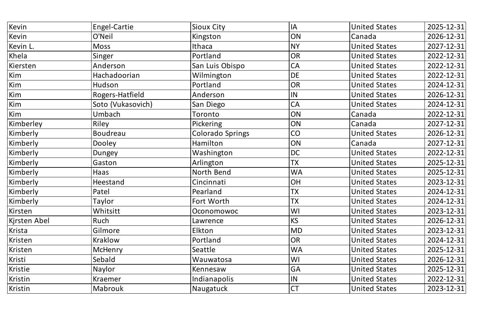| Kevin        | Engel-Cartie      | <b>Sioux City</b>       | IA                        | <b>United States</b> | 2025-12-31 |
|--------------|-------------------|-------------------------|---------------------------|----------------------|------------|
| Kevin        | O'Neil            | Kingston                | ON                        | Canada               | 2026-12-31 |
| Kevin L.     | <b>Moss</b>       | Ithaca                  | <b>NY</b>                 | <b>United States</b> | 2027-12-31 |
| Khela        | Singer            | Portland                | <b>OR</b>                 | <b>United States</b> | 2022-12-31 |
| Kiersten     | Anderson          | San Luis Obispo         | <b>CA</b>                 | <b>United States</b> | 2022-12-31 |
| Kim          | Hachadoorian      | Wilmington              | <b>DE</b>                 | <b>United States</b> | 2022-12-31 |
| Kim          | Hudson            | Portland                | <b>OR</b>                 | <b>United States</b> | 2024-12-31 |
| Kim          | Rogers-Hatfield   | Anderson                | IN                        | <b>United States</b> | 2026-12-31 |
| Kim          | Soto (Vukasovich) | San Diego               | CA                        | <b>United States</b> | 2024-12-31 |
| Kim          | Umbach            | Toronto                 | ON                        | Canada               | 2022-12-31 |
| Kimberley    | Riley             | <b>Pickering</b>        | ON                        | Canada               | 2027-12-31 |
| Kimberly     | <b>Boudreau</b>   | <b>Colorado Springs</b> | CO                        | <b>United States</b> | 2026-12-31 |
| Kimberly     | Dooley            | Hamilton                | ON                        | Canada               | 2027-12-31 |
| Kimberly     | Dungey            | Washington              | <b>DC</b>                 | <b>United States</b> | 2022-12-31 |
| Kimberly     | Gaston            | Arlington               | <b>TX</b>                 | <b>United States</b> | 2025-12-31 |
| Kimberly     | Haas              | North Bend              | <b>WA</b>                 | <b>United States</b> | 2025-12-31 |
| Kimberly     | <b>Heestand</b>   | Cincinnati              | OH                        | <b>United States</b> | 2023-12-31 |
| Kimberly     | Patel             | Pearland                | <b>TX</b>                 | <b>United States</b> | 2024-12-31 |
| Kimberly     | Taylor            | Fort Worth              | <b>TX</b><br>$\mathbf{I}$ | <b>United States</b> | 2024-12-31 |
| Kirsten      | Whitsitt          | Oconomowoc              | WI                        | <b>United States</b> | 2023-12-31 |
| Kjrsten Abel | Ruch              | Lawrence                | <b>KS</b>                 | <b>United States</b> | 2026-12-31 |
| Krista       | Gilmore           | Elkton                  | <b>MD</b>                 | <b>United States</b> | 2023-12-31 |
| Kristen      | Kraklow           | Portland                | <b>OR</b>                 | <b>United States</b> | 2024-12-31 |
| Kristen      | <b>McHenry</b>    | Seattle                 | <b>WA</b>                 | <b>United States</b> | 2025-12-31 |
| Kristi       | Sebald            | Wauwatosa               | WI                        | <b>United States</b> | 2026-12-31 |
| Kristie      | <b>Naylor</b>     | Kennesaw                | GA                        | <b>United States</b> | 2025-12-31 |
| Kristin      | Kraemer           | Indianapolis            | IN                        | <b>United States</b> | 2022-12-31 |
| Kristin      | Mabrouk           | Naugatuck               | <b>CT</b>                 | <b>United States</b> | 2023-12-31 |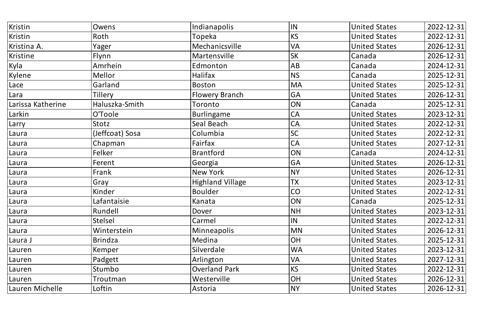| Kristin           | Owens           | Indianapolis            | IN        | <b>United States</b> | 2022-12-31 |
|-------------------|-----------------|-------------------------|-----------|----------------------|------------|
| Kristin           | Roth            | Topeka                  | <b>KS</b> | <b>United States</b> | 2022-12-31 |
| Kristina A.       | Yager           | Mechanicsville          | <b>VA</b> | <b>United States</b> | 2026-12-31 |
| Kristine          | Flynn           | Martensville            | <b>SK</b> | Canada               | 2026-12-31 |
| Kyla              | Amrhein         | Edmonton                | AB        | Canada               | 2024-12-31 |
| Kylene            | Mellor          | Halifax                 | <b>NS</b> | Canada               | 2025-12-31 |
| Lace              | Garland         | <b>Boston</b>           | <b>MA</b> | <b>United States</b> | 2025-12-31 |
| Lara              | Tillery         | <b>Flowery Branch</b>   | <b>GA</b> | <b>United States</b> | 2026-12-31 |
| Larissa Katherine | Haluszka-Smith  | Toronto                 | ON        | Canada               | 2025-12-31 |
| Larkin            | O'Toole         | Burlingame              | <b>CA</b> | <b>United States</b> | 2023-12-31 |
| Larry             | Stotz           | Seal Beach              | <b>CA</b> | <b>United States</b> | 2022-12-31 |
| Laura             | (Jeffcoat) Sosa | Columbia                | <b>SC</b> | <b>United States</b> | 2022-12-31 |
| Laura             | Chapman         | Fairfax                 | CA        | <b>United States</b> | 2027-12-31 |
| Laura             | Felker          | <b>Brantford</b>        | ON        | Canada               | 2024-12-31 |
| Laura             | Ferent          | Georgia                 | <b>GA</b> | <b>United States</b> | 2026-12-31 |
| Laura             | Frank           | New York                | <b>NY</b> | <b>United States</b> | 2026-12-31 |
| Laura             | Gray            | <b>Highland Village</b> | <b>TX</b> | <b>United States</b> | 2023-12-31 |
| Laura             | Kinder          | <b>Boulder</b>          | CO        | <b>United States</b> | 2022-12-31 |
| Laura             | Lafantaisie     | Kanata                  | <b>ON</b> | Canada               | 2025-12-31 |
| Laura             | Rundell         | Dover                   | <b>NH</b> | <b>United States</b> | 2023-12-31 |
| Laura             | Stelsel         | Carmel                  | IN        | <b>United States</b> | 2022-12-31 |
| <b>ILaura</b>     | Winterstein     | <b>Minneapolis</b>      | <b>MN</b> | <b>United States</b> | 2026-12-31 |
| Laura J           | <b>Brindza</b>  | Medina                  | <b>OH</b> | <b>United States</b> | 2025-12-31 |
| Lauren            | Kemper          | Silverdale              | <b>WA</b> | <b>United States</b> | 2023-12-31 |
| Lauren            | Padgett         | Arlington               | <b>VA</b> | <b>United States</b> | 2027-12-31 |
| Lauren            | Stumbo          | <b>Overland Park</b>    | <b>KS</b> | <b>United States</b> | 2022-12-31 |
| Lauren            | Troutman        | Westerville             | OH        | <b>United States</b> | 2026-12-31 |
| Lauren Michelle   | Loftin          | Astoria                 | <b>NY</b> | <b>United States</b> | 2026-12-31 |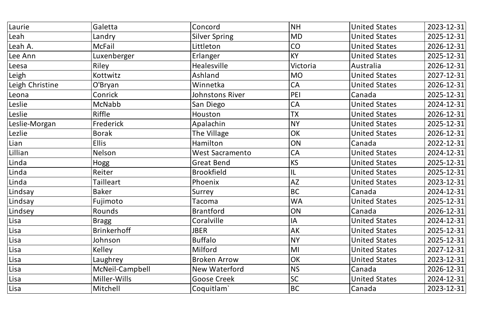| Laurie          | Galetta            | Concord                | <b>NH</b> | <b>United States</b> | 2023-12-31 |
|-----------------|--------------------|------------------------|-----------|----------------------|------------|
| Leah            | Landry             | <b>Silver Spring</b>   | <b>MD</b> | <b>United States</b> | 2025-12-31 |
| Leah A.         | <b>McFail</b>      | Littleton              | CO        | <b>United States</b> | 2026-12-31 |
| Lee Ann         | Luxenberger        | Erlanger               | <b>KY</b> | <b>United States</b> | 2025-12-31 |
| Leesa           | Riley              | Healesville            | Victoria  | Australia            | 2026-12-31 |
| Leigh           | Kottwitz           | Ashland                | <b>MO</b> | <b>United States</b> | 2027-12-31 |
| Leigh Christine | O'Bryan            | Winnetka               | <b>CA</b> | <b>United States</b> | 2026-12-31 |
| Leona           | Conrick            | Johnstons River        | PEI       | Canada               | 2025-12-31 |
| Leslie          | McNabb             | <b>San Diego</b>       | <b>CA</b> | <b>United States</b> | 2024-12-31 |
| Leslie          | Riffle             | Houston                | <b>TX</b> | <b>United States</b> | 2026-12-31 |
| Leslie-Morgan   | Frederick          | Apalachin              | <b>NY</b> | <b>United States</b> | 2025-12-31 |
| Lezlie          | <b>Borak</b>       | The Village            | OK        | <b>United States</b> | 2026-12-31 |
| Lian            | <b>Ellis</b>       | Hamilton               | ON        | Canada               | 2022-12-31 |
| Lillian         | Nelson             | <b>West Sacramento</b> | <b>CA</b> | <b>United States</b> | 2024-12-31 |
| Linda           | Hogg               | <b>Great Bend</b>      | KS        | <b>United States</b> | 2025-12-31 |
| Linda           | Reiter             | <b>Brookfield</b>      | IL        | <b>United States</b> | 2025-12-31 |
| Linda           | Tailleart          | Phoenix                | <b>AZ</b> | <b>United States</b> | 2023-12-31 |
| Lindsay         | <b>Baker</b>       | Surrey                 | <b>BC</b> | Canada               | 2024-12-31 |
| Lindsay         | Fujimoto           | Tacoma                 | <b>WA</b> | <b>United States</b> | 2025-12-31 |
| Lindsey         | Rounds             | <b>Brantford</b>       | ON        | Canada               | 2026-12-31 |
| Lisa            | <b>Bragg</b>       | Coralville             | IA        | <b>United States</b> | 2024-12-31 |
| Lisa            | <b>Brinkerhoff</b> | <b>JBER</b>            | <b>AK</b> | <b>United States</b> | 2025-12-31 |
| Lisa            | Johnson            | <b>Buffalo</b>         | <b>NY</b> | <b>United States</b> | 2025-12-31 |
| Lisa            | <b>Kelley</b>      | Milford                | MI        | <b>United States</b> | 2027-12-31 |
| Lisa            | Laughrey           | <b>Broken Arrow</b>    | OK        | <b>United States</b> | 2023-12-31 |
| Lisa            | McNeil-Campbell    | New Waterford          | <b>NS</b> | Canada               | 2026-12-31 |
| Lisa            | Miller-Wills       | <b>Goose Creek</b>     | SC        | <b>United States</b> | 2024-12-31 |
| Lisa            | Mitchell           | Coquitlam`             | <b>BC</b> | Canada               | 2023-12-31 |
|                 |                    |                        |           |                      |            |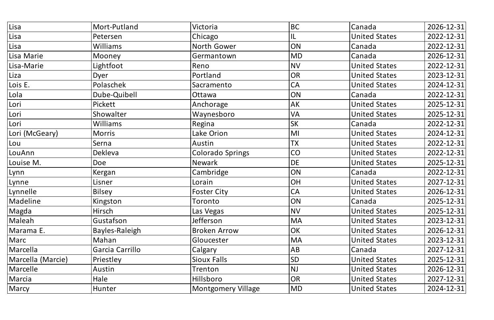| Lisa              | Mort-Putland    | Victoria                  | <b>BC</b> | Canada               | 2026-12-31 |
|-------------------|-----------------|---------------------------|-----------|----------------------|------------|
| Lisa              | Petersen        | Chicago                   | IL        | <b>United States</b> | 2022-12-31 |
| Lisa              | Williams        | North Gower               | ON        | Canada               | 2022-12-31 |
| Lisa Marie        | Mooney          | Germantown                | <b>MD</b> | Canada               | 2026-12-31 |
| Lisa-Marie        | Lightfoot       | Reno                      | <b>NV</b> | <b>United States</b> | 2022-12-31 |
| Liza              | Dyer            | Portland                  | <b>OR</b> | <b>United States</b> | 2023-12-31 |
| Lois E.           | Polaschek       | Sacramento                | <b>CA</b> | <b>United States</b> | 2024-12-31 |
| Lola              | Dube-Quibell    | Ottawa                    | ON        | Canada               | 2022-12-31 |
| Lori              | Pickett         | Anchorage                 | AK        | <b>United States</b> | 2025-12-31 |
| Lori              | Showalter       | Waynesboro                | <b>VA</b> | <b>United States</b> | 2025-12-31 |
| Lori              | <b>Williams</b> | Regina                    | <b>SK</b> | Canada               | 2022-12-31 |
| Lori (McGeary)    | <b>Morris</b>   | Lake Orion                | MI        | <b>United States</b> | 2024-12-31 |
| Lou               | Serna           | Austin                    | <b>TX</b> | <b>United States</b> | 2022-12-31 |
| LouAnn            | Dekleva         | <b>Colorado Springs</b>   | CO        | <b>United States</b> | 2022-12-31 |
| Louise M.         | <b>Doe</b>      | <b>Newark</b>             | <b>DE</b> | <b>United States</b> | 2025-12-31 |
| Lynn              | Kergan          | Cambridge                 | ON        | Canada               | 2022-12-31 |
| Lynne             | Lisner          | Lorain                    | OH        | <b>United States</b> | 2027-12-31 |
| Lynnelle          | <b>Bilsey</b>   | <b>Foster City</b>        | <b>CA</b> | <b>United States</b> | 2026-12-31 |
| Madeline          | Kingston        | Toronto                   | ON        | Canada               | 2025-12-31 |
| Magda             | Hirsch          | Las Vegas                 | <b>NV</b> | <b>United States</b> | 2025-12-31 |
| Maleah            | Gustafson       | Jefferson                 | <b>MA</b> | <b>United States</b> | 2023-12-31 |
| Marama E.         | Bayles-Raleigh  | <b>Broken Arrow</b>       | OK        | <b>United States</b> | 2026-12-31 |
| Marc              | Mahan           | Gloucester                | <b>MA</b> | <b>United States</b> | 2023-12-31 |
| Marcella          | Garcia Carrillo | Calgary                   | AB        | Canada               | 2027-12-31 |
| Marcella (Marcie) | Priestley       | <b>Sioux Falls</b>        | <b>SD</b> | <b>United States</b> | 2025-12-31 |
| Marcelle          | Austin          | Trenton                   | <b>NJ</b> | <b>United States</b> | 2026-12-31 |
| Marcia            | Hale            | Hillsboro                 | <b>OR</b> | <b>United States</b> | 2027-12-31 |
| Marcy             | Hunter          | <b>Montgomery Village</b> | <b>MD</b> | <b>United States</b> | 2024-12-31 |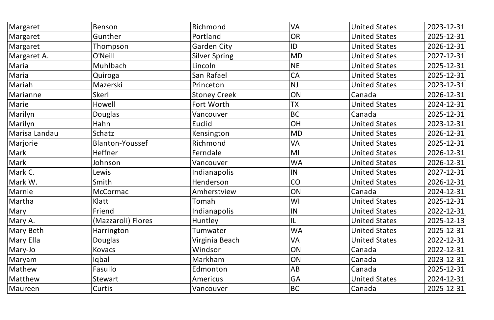| Margaret      | Benson                 | Richmond             | <b>VA</b> | <b>United States</b> | 2023-12-31 |
|---------------|------------------------|----------------------|-----------|----------------------|------------|
| Margaret      | Gunther                | Portland             | OR        | <b>United States</b> | 2025-12-31 |
| Margaret      | Thompson               | <b>Garden City</b>   | ID        | <b>United States</b> | 2026-12-31 |
| Margaret A.   | O'Neill                | <b>Silver Spring</b> | <b>MD</b> | <b>United States</b> | 2027-12-31 |
| Maria         | Muhlbach               | Lincoln              | <b>NE</b> | <b>United States</b> | 2025-12-31 |
| Maria         | Quiroga                | San Rafael           | <b>CA</b> | <b>United States</b> | 2025-12-31 |
| Mariah        | Mazerski               | Princeton            | <b>NJ</b> | <b>United States</b> | 2023-12-31 |
| Marianne      | Skerl                  | <b>Stoney Creek</b>  | ON        | Canada               | 2026-12-31 |
| Marie         | Howell                 | Fort Worth           | <b>TX</b> | <b>United States</b> | 2024-12-31 |
| Marilyn       | Douglas                | Vancouver            | BC        | Canada               | 2025-12-31 |
| Marilyn       | Hahn                   | Euclid               | OH        | <b>United States</b> | 2023-12-31 |
| Marisa Landau | Schatz                 | Kensington           | <b>MD</b> | <b>United States</b> | 2026-12-31 |
| Marjorie      | <b>Blanton-Youssef</b> | Richmond             | <b>VA</b> | <b>United States</b> | 2025-12-31 |
| Mark          | <b>Heffner</b>         | Ferndale             | M         | <b>United States</b> | 2026-12-31 |
| Mark          | Johnson                | Vancouver            | <b>WA</b> | <b>United States</b> | 2026-12-31 |
| Mark C.       | Lewis                  | Indianapolis         | IN        | <b>United States</b> | 2027-12-31 |
| Mark W.       | Smith                  | Henderson            | <b>CO</b> | <b>United States</b> | 2026-12-31 |
| Marnie        | <b>McCormac</b>        | Amherstview          | ON        | Canada               | 2024-12-31 |
| Martha        | Klatt                  | Tomah                | W         | United States        | 2025-12-31 |
| Mary          | Friend                 | Indianapolis         | IN        | <b>United States</b> | 2022-12-31 |
| Mary A.       | (Mazzaroli) Flores     | <b>Huntley</b>       | 1L        | <b>United States</b> | 2025-12-13 |
| Mary Beth     | <b>Harrington</b>      | Tumwater             | <b>WA</b> | <b>United States</b> | 2025-12-31 |
| Mary Ella     | Douglas                | Virginia Beach       | <b>VA</b> | <b>United States</b> | 2022-12-31 |
| Mary-Jo       | Kovacs                 | Windsor              | ON        | Canada               | 2022-12-31 |
| Maryam        | lqbal                  | Markham              | ON        | Canada               | 2023-12-31 |
| Mathew        | Fasullo                | Edmonton             | AB        | Canada               | 2025-12-31 |
| Matthew       | Stewart                | Americus             | <b>GA</b> | <b>United States</b> | 2024-12-31 |
| Maureen       | Curtis                 | Vancouver            | BC        | Canada               | 2025-12-31 |
|               |                        |                      |           |                      |            |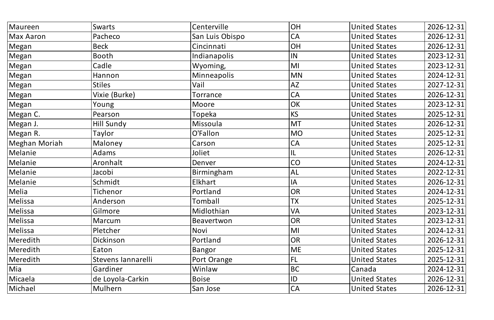| Maureen          | Swarts             | Centerville     | <b>OH</b>                 | <b>United States</b> | 2026-12-31 |
|------------------|--------------------|-----------------|---------------------------|----------------------|------------|
| <b>Max Aaron</b> | Pacheco            | San Luis Obispo | <b>CA</b>                 | <b>United States</b> | 2026-12-31 |
| Megan            | <b>Beck</b>        | Cincinnati      | OH                        | <b>United States</b> | 2026-12-31 |
| $ M$ egan        | <b>Booth</b>       | Indianapolis    | IN                        | <b>United States</b> | 2023-12-31 |
| $ M$ egan        | Cadle              | Wyoming,        | MI                        | <b>United States</b> | 2023-12-31 |
| $ M$ egan        | Hannon             | Minneapolis     | <b>MN</b>                 | <b>United States</b> | 2024-12-31 |
| $ M$ egan        | <b>Stiles</b>      | Vail            | <b>AZ</b>                 | <b>United States</b> | 2027-12-31 |
| $ M$ egan        | Vixie (Burke)      | Torrance        | <b>CA</b>                 | <b>United States</b> | 2026-12-31 |
| $ M$ egan        | Young              | Moore           | OK                        | <b>United States</b> | 2023-12-31 |
| Megan C.         | Pearson            | Topeka          | <b>KS</b>                 | <b>United States</b> | 2025-12-31 |
| Megan J.         | Hill Sundy         | Missoula        | <b>MT</b>                 | <b>United States</b> | 2026-12-31 |
| Megan R.         | Taylor             | O'Fallon        | <b>MO</b>                 | <b>United States</b> | 2025-12-31 |
| Meghan Moriah    | Maloney            | Carson          | <b>CA</b>                 | <b>United States</b> | 2025-12-31 |
| Melanie          | Adams              | Joliet          | L                         | <b>United States</b> | 2026-12-31 |
| Melanie          | Aronhalt           | Denver          | CO                        | <b>United States</b> | 2024-12-31 |
| Melanie          | Jacobi             | Birmingham      | <b>AL</b>                 | <b>United States</b> | 2022-12-31 |
| Melanie          | Schmidt            | Elkhart         | IA                        | <b>United States</b> | 2026-12-31 |
| Melia            | Tichenor           | Portland        | <b>OR</b>                 | <b>United States</b> | 2024-12-31 |
| Melissa          | Anderson           | Tomball         | <b>TX</b><br>$\mathbf{I}$ | <b>United States</b> | 2025-12-31 |
| Melissa          | Gilmore            | Midlothian      | VA                        | <b>United States</b> | 2023-12-31 |
| Melissa          | Marcum             | Beavertwon      | <b>OR</b>                 | <b>United States</b> | 2023-12-31 |
| Melissa          | Pletcher           | Novi            | MI                        | <b>United States</b> | 2024-12-31 |
| Meredith         | Dickinson          | Portland        | <b>OR</b>                 | <b>United States</b> | 2026-12-31 |
| Meredith         | Eaton              | Bangor          | ME <sup></sup>            | <b>United States</b> | 2025-12-31 |
| Meredith         | Stevens lannarelli | Port Orange     | FL                        | <b>United States</b> | 2025-12-31 |
| Mia              | Gardiner           | Winlaw          | <b>BC</b>                 | Canada               | 2024-12-31 |
| Micaela          | de Loyola-Carkin   | <b>Boise</b>    | 1D                        | <b>United States</b> | 2026-12-31 |
| Michael          | Mulhern            | San Jose        | CA                        | <b>United States</b> | 2026-12-31 |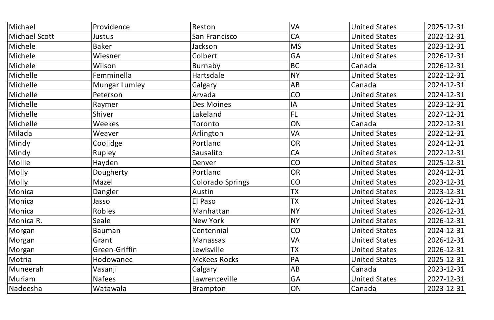| Michael       | Providence    | Reston              | <b>VA</b>   | <b>United States</b> | 2025-12-31 |
|---------------|---------------|---------------------|-------------|----------------------|------------|
| Michael Scott | Justus        | San Francisco       | <b>CA</b>   | <b>United States</b> | 2022-12-31 |
| Michele       | <b>Baker</b>  | Jackson             | <b>MS</b>   | <b>United States</b> | 2023-12-31 |
| Michele       | Wiesner       | Colbert             | GA          | <b>United States</b> | 2026-12-31 |
| Michele       | Wilson        | Burnaby             | <b>BC</b>   | Canada               | 2026-12-31 |
| Michelle      | Femminella    | Hartsdale           | <b>NY</b>   | <b>United States</b> | 2022-12-31 |
| Michelle      | Mungar Lumley | Calgary             | AB          | Canada               | 2024-12-31 |
| Michelle      | Peterson      | Arvada              | CO          | <b>United States</b> | 2024-12-31 |
| Michelle      | Raymer        | Des Moines          | $ $ $ $ $ $ | <b>United States</b> | 2023-12-31 |
| Michelle      | Shiver        | Lakeland            | FL          | <b>United States</b> | 2027-12-31 |
| Michelle      | Weekes        | Toronto             | ON          | Canada               | 2022-12-31 |
| Milada        | Weaver        | Arlington           | <b>VA</b>   | <b>United States</b> | 2022-12-31 |
| Mindy         | Coolidge      | Portland            | OR          | <b>United States</b> | 2024-12-31 |
| Mindy         | Rupley        | Sausalito           | <b>CA</b>   | <b>United States</b> | 2022-12-31 |
| $ $ Mollie    | Hayden        | Denver              | CO          | <b>United States</b> | 2025-12-31 |
| Molly         | Dougherty     | Portland            | OR          | <b>United States</b> | 2024-12-31 |
| Molly         | Mazel         | Colorado Springs    | CO          | <b>United States</b> | 2023-12-31 |
| Monica        | Dangler       | Austin              | <b>TX</b>   | <b>United States</b> | 2023-12-31 |
| Monica        | Jasso         | <b>El Paso</b>      | <b>TX</b>   | United States        | 2026-12-31 |
| Monica        | Robles        | Manhattan           | <b>NY</b>   | <b>United States</b> | 2026-12-31 |
| Monica R.     | Seale         | New York            | <b>NY</b>   | <b>United States</b> | 2026-12-31 |
| Morgan        | Bauman        | Centennial          | CO          | <b>United States</b> | 2024-12-31 |
| Morgan        | Grant         | Manassas            | <b>VA</b>   | <b>United States</b> | 2026-12-31 |
| Morgan        | Green-Griffin | Lewisville          | <b>TX</b>   | <b>United States</b> | 2026-12-31 |
| Motria        | Hodowanec     | <b>McKees Rocks</b> | PA          | <b>United States</b> | 2025-12-31 |
| Muneerah      | Vasanji       | Calgary             | <b>AB</b>   | Canada               | 2023-12-31 |
| Muriam        | <b>Nafees</b> | Lawrenceville       | GA          | <b>United States</b> | 2027-12-31 |
| Nadeesha      | Watawala      | Brampton            | <b>ON</b>   | Canada               | 2023-12-31 |
|               |               |                     |             |                      |            |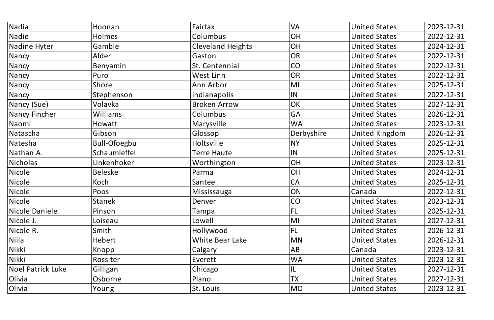| Nadia             | Hoonan              | Fairfax                  | <b>VA</b>      | <b>United States</b> | 2023-12-31 |
|-------------------|---------------------|--------------------------|----------------|----------------------|------------|
| Nadie             | Holmes              | Columbus                 | OH             | <b>United States</b> | 2022-12-31 |
| Nadine Hyter      | Gamble              | <b>Cleveland Heights</b> | OH             | <b>United States</b> | 2024-12-31 |
| Nancy             | Alder               | Gaston                   | OR             | <b>United States</b> | 2022-12-31 |
| Nancy             | Benyamin            | St. Centennial           | CO             | <b>United States</b> | 2022-12-31 |
| Nancy             | Puro                | West Linn                | OR             | <b>United States</b> | 2022-12-31 |
| Nancy             | Shore               | Ann Arbor                | MI             | <b>United States</b> | 2025-12-31 |
| Nancy             | Stephenson          | Indianapolis             | IN             | <b>United States</b> | 2022-12-31 |
| Nancy (Sue)       | Volavka             | <b>Broken Arrow</b>      | OK             | <b>United States</b> | 2027-12-31 |
| Nancy Fincher     | Williams            | Columbus                 | <b>GA</b>      | <b>United States</b> | 2026-12-31 |
| Naomi             | Howatt              | Marysville               | <b>WA</b>      | <b>United States</b> | 2023-12-31 |
| Natascha          | Gibson              | Glossop                  | Derbyshire     | United Kingdom       | 2026-12-31 |
| Natesha           | <b>Bull-Ofoegbu</b> | <b>Holtsville</b>        | NY             | <b>United States</b> | 2025-12-31 |
| Nathan A.         | Schaumleffel        | Terre Haute              | IN             | <b>United States</b> | 2025-12-31 |
| <b>Nicholas</b>   | Linkenhoker         | Worthington              | OH             | <b>United States</b> | 2023-12-31 |
| Nicole            | <b>Beleske</b>      | Parma                    | OH             | <b>United States</b> | 2024-12-31 |
| Nicole            | Koch                | Santee                   | <b>CA</b>      | <b>United States</b> | 2025-12-31 |
| Nicole            | Poos                | Mississauga              | ON             | Canada               | 2022-12-31 |
| Nicole            | Stanek              | Denver                   | <b>CO</b>      | United States        | 2023-12-31 |
| Nicole Daniele    | Pinson              | Tampa                    | FL             | <b>United States</b> | 2025-12-31 |
| Nicole J.         | Loiseau             | Lowell                   | $\mathsf{M}$ l | <b>United States</b> | 2027-12-31 |
| Nicole R.         | Smith               | Hollywood                | FL             | <b>United States</b> | 2026-12-31 |
| $\vert$ Niila     | Hebert              | <b>White Bear Lake</b>   | <b>MN</b>      | <b>United States</b> | 2026-12-31 |
| Nikki             | Knopp               | Calgary                  | AB             | Canada               | 2023-12-31 |
| Nikki             | Rossiter            | Everett                  | <b>WA</b>      | <b>United States</b> | 2023-12-31 |
| Noel Patrick Luke | Gilligan            | Chicago                  | 1L             | <b>United States</b> | 2027-12-31 |
| Olivia            | Osborne             | Plano                    | <b>TX</b>      | <b>United States</b> | 2027-12-31 |
| Olivia            | Young               | St. Louis                | MO             | <b>United States</b> | 2023-12-31 |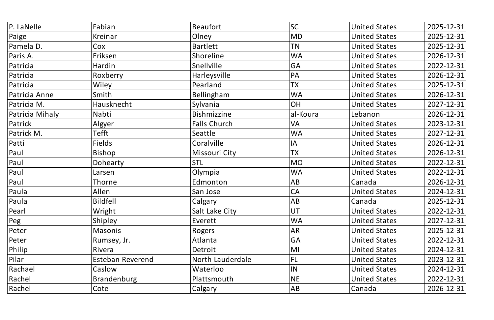| P. LaNelle      | Fabian                  | <b>Beaufort</b>     | <b>SC</b> | <b>United States</b> | 2025-12-31 |
|-----------------|-------------------------|---------------------|-----------|----------------------|------------|
| Paige           | Kreinar                 | Olney               | <b>MD</b> | <b>United States</b> | 2025-12-31 |
| Pamela D.       | Cox                     | Bartlett            | <b>TN</b> | <b>United States</b> | 2025-12-31 |
| Paris A.        | Eriksen                 | Shoreline           | <b>WA</b> | <b>United States</b> | 2026-12-31 |
| Patricia        | Hardin                  | Snellville          | <b>GA</b> | <b>United States</b> | 2022-12-31 |
| Patricia        | Roxberry                | Harleysville        | <b>PA</b> | <b>United States</b> | 2026-12-31 |
| Patricia        | Wiley                   | Pearland            | <b>TX</b> | <b>United States</b> | 2025-12-31 |
| Patricia Anne   | Smith                   | Bellingham          | <b>WA</b> | <b>United States</b> | 2026-12-31 |
| Patricia M.     | Hausknecht              | Sylvania            | <b>OH</b> | <b>United States</b> | 2027-12-31 |
| Patricia Mihaly | Nabti                   | <b>Bishmizzine</b>  | al-Koura  | Lebanon              | 2026-12-31 |
| Patrick         | Algyer                  | <b>Falls Church</b> | <b>VA</b> | <b>United States</b> | 2023-12-31 |
| Patrick M.      | Tefft                   | Seattle             | <b>WA</b> | <b>United States</b> | 2027-12-31 |
| Patti           | <b>Fields</b>           | Coralville          | IA        | <b>United States</b> | 2026-12-31 |
| Paul            | Bishop                  | Missouri City       | <b>TX</b> | <b>United States</b> | 2026-12-31 |
| Paul            | Dohearty                | <b>STL</b>          | <b>MO</b> | <b>United States</b> | 2022-12-31 |
| Paul            | Larsen                  | Olympia             | <b>WA</b> | <b>United States</b> | 2022-12-31 |
| Paul            | Thorne                  | Edmonton            | AB        | Canada               | 2026-12-31 |
| Paula           | Allen                   | San Jose            | <b>CA</b> | <b>United States</b> | 2024-12-31 |
| Paula           | <b>Bildfell</b>         | <b>Calgary</b>      | <b>AB</b> | Canada               | 2025-12-31 |
| Pearl           | Wright                  | Salt Lake City      | UT        | <b>United States</b> | 2022-12-31 |
| Peg             | Shipley                 | Everett             | <b>WA</b> | <b>United States</b> | 2027-12-31 |
| Peter           | <b>Masonis</b>          | Rogers              | <b>AR</b> | <b>United States</b> | 2025-12-31 |
| Peter           | Rumsey, Jr.             | Atlanta             | GA        | <b>United States</b> | 2022-12-31 |
| Philip          | Rivera                  | Detroit             | MI        | <b>United States</b> | 2024-12-31 |
| Pilar           | <b>Esteban Reverend</b> | North Lauderdale    | <b>FL</b> | <b>United States</b> | 2023-12-31 |
| Rachael         | Caslow                  | Waterloo            | IN        | <b>United States</b> | 2024-12-31 |
| Rachel          | Brandenburg             | Plattsmouth         | <b>NE</b> | <b>United States</b> | 2022-12-31 |
| Rachel          | Cote                    | Calgary             | AB        | Canada               | 2026-12-31 |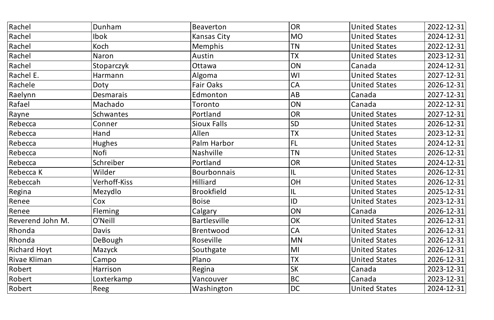| Rachel              | Dunham           | <b>Beaverton</b>    | OR        | <b>United States</b> | 2022-12-31 |
|---------------------|------------------|---------------------|-----------|----------------------|------------|
| Rachel              | <b>Ibok</b>      | Kansas City         | <b>MO</b> | <b>United States</b> | 2024-12-31 |
| Rachel              | Koch             | Memphis             | <b>TN</b> | <b>United States</b> | 2022-12-31 |
| Rachel              | Naron            | Austin              | <b>TX</b> | <b>United States</b> | 2023-12-31 |
| Rachel              | Stoparczyk       | Ottawa              | ON        | Canada               | 2024-12-31 |
| Rachel E.           | Harmann          | Algoma              | WI        | <b>United States</b> | 2027-12-31 |
| Rachele             | Doty             | Fair Oaks           | <b>CA</b> | <b>United States</b> | 2026-12-31 |
| Raelynn             | <b>Desmarais</b> | Edmonton            | AB        | Canada               | 2027-12-31 |
| Rafael              | Machado          | Toronto             | ON        | Canada               | 2022-12-31 |
| Rayne               | Schwantes        | Portland            | <b>OR</b> | <b>United States</b> | 2027-12-31 |
| Rebecca             | Conner           | <b>Sioux Falls</b>  | <b>SD</b> | <b>United States</b> | 2026-12-31 |
| Rebecca             | Hand             | Allen               | TX        | <b>United States</b> | 2023-12-31 |
| Rebecca             | <b>Hughes</b>    | Palm Harbor         | FL        | <b>United States</b> | 2024-12-31 |
| Rebecca             | Nofi             | <b>Nashville</b>    | <b>TN</b> | <b>United States</b> | 2026-12-31 |
| Rebecca             | Schreiber        | Portland            | OR        | <b>United States</b> | 2024-12-31 |
| Rebecca K           | Wilder           | Bourbonnais         | 1L        | <b>United States</b> | 2026-12-31 |
| Rebeccah            | Verhoff-Kiss     | Hilliard            | OH        | <b>United States</b> | 2026-12-31 |
| Regina              | Mezydlo          | <b>Brookfield</b>   | IL        | <b>United States</b> | 2025-12-31 |
| Renee               | $ $ Cox          | <b>Boise</b>        | ID        | United States        | 2023-12-31 |
| Renee               | <b>Fleming</b>   | Calgary             | ON        | Canada               | 2026-12-31 |
| Reverend John M.    | O'Neill          | <b>Bartlesville</b> | OK        | <b>United States</b> | 2026-12-31 |
| Rhonda              | Davis            | <b>Brentwood</b>    | <b>CA</b> | <b>United States</b> | 2026-12-31 |
| Rhonda              | DeBough          | Roseville           | <b>MN</b> | <b>United States</b> | 2026-12-31 |
| <b>Richard Hoyt</b> | Mazyck           | Southgate           | MI        | <b>United States</b> | 2026-12-31 |
| Rivae Kliman        | Campo            | Plano               | <b>TX</b> | <b>United States</b> | 2026-12-31 |
| Robert              | Harrison         | Regina              | <b>SK</b> | Canada               | 2023-12-31 |
| Robert              | Loxterkamp       | Vancouver           | <b>BC</b> | Canada               | 2023-12-31 |
| Robert              | Reeg             | <b>Washington</b>   | DC        | <b>United States</b> | 2024-12-31 |
|                     |                  |                     |           |                      |            |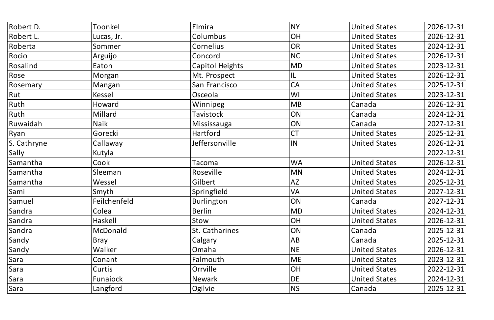| Robert D.   | Toonkel      | Elmira                 | <b>NY</b> | <b>United States</b> | 2026-12-31 |
|-------------|--------------|------------------------|-----------|----------------------|------------|
| Robert L.   | Lucas, Jr.   | Columbus               | OH        | <b>United States</b> | 2026-12-31 |
| Roberta     | Sommer       | Cornelius              | <b>OR</b> | <b>United States</b> | 2024-12-31 |
| Rocio       | Arguijo      | Concord                | <b>NC</b> | <b>United States</b> | 2026-12-31 |
| Rosalind    | Eaton        | <b>Capitol Heights</b> | <b>MD</b> | <b>United States</b> | 2023-12-31 |
| Rose        | Morgan       | Mt. Prospect           | IL        | <b>United States</b> | 2026-12-31 |
| Rosemary    | Mangan       | San Francisco          | <b>CA</b> | <b>United States</b> | 2025-12-31 |
| Rut         | Kessel       | Osceola                | WI        | <b>United States</b> | 2023-12-31 |
| Ruth        | Howard       | Winnipeg               | <b>MB</b> | Canada               | 2026-12-31 |
| Ruth        | Millard      | Tavistock              | ON        | Canada               | 2024-12-31 |
| Ruwaidah    | <b>Naik</b>  | Mississauga            | ON        | Canada               | 2027-12-31 |
| $ $ Ryan    | Gorecki      | <b>Hartford</b>        | <b>CT</b> | <b>United States</b> | 2025-12-31 |
| S. Cathryne | Callaway     | Jeffersonville         | IN        | <b>United States</b> | 2026-12-31 |
| Sally       | Kutyla       |                        |           |                      | 2022-12-31 |
| Samantha    | Cook         | Tacoma                 | <b>WA</b> | <b>United States</b> | 2026-12-31 |
| Samantha    | Sleeman      | Roseville              | <b>MN</b> | <b>United States</b> | 2024-12-31 |
| Samantha    | Wessel       | Gilbert                | <b>AZ</b> | <b>United States</b> | 2025-12-31 |
| Sami        | Smyth        | Springfield            | <b>VA</b> | <b>United States</b> | 2027-12-31 |
| Samuel      | Feilchenfeld | Burlington             | ON        | Canada               | 2027-12-31 |
| Sandra      | Colea        | <b>Berlin</b>          | <b>MD</b> | <b>United States</b> | 2024-12-31 |
| Sandra      | Haskell      | Stow                   | OH        | <b>United States</b> | 2026-12-31 |
| Sandra      | McDonald     | St. Catharines         | ON        | Canada               | 2025-12-31 |
| Sandy       | Bray         | Calgary                | <b>AB</b> | Canada               | 2025-12-31 |
| Sandy       | Walker       | Omaha                  | NE        | <b>United States</b> | 2026-12-31 |
| Sara        | Conant       | Falmouth               | <b>ME</b> | <b>United States</b> | 2023-12-31 |
| Sara        | Curtis       | Orrville               | OH        | <b>United States</b> | 2022-12-31 |
| Sara        | Funaiock     | <b>Newark</b>          | <b>DE</b> | <b>United States</b> | 2024-12-31 |
| Sara        | Langford     | Ogilvie                | NS        | Canada               | 2025-12-31 |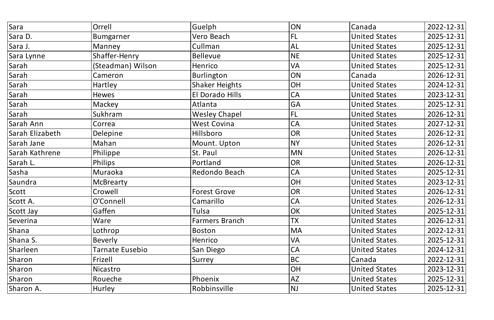| Sara            | Orrell                 | Guelph                | ON          | Canada               | 2022-12-31 |
|-----------------|------------------------|-----------------------|-------------|----------------------|------------|
| Sara D.         | <b>Bumgarner</b>       | Vero Beach            | FL          | <b>United States</b> | 2025-12-31 |
| Sara J.         | Manney                 | Cullman               | $ {\sf AL}$ | <b>United States</b> | 2025-12-31 |
| Sara Lynne      | Shaffer-Henry          | <b>Bellevue</b>       | NE          | <b>United States</b> | 2025-12-31 |
| Sarah           | (Steadman) Wilson      | Henrico               | <b>VA</b>   | <b>United States</b> | 2025-12-31 |
| Sarah           | Cameron                | Burlington            | ON          | Canada               | 2026-12-31 |
| Sarah           | Hartley                | <b>Shaker Heights</b> | OH          | <b>United States</b> | 2024-12-31 |
| Sarah           | <b>Hewes</b>           | El Dorado Hills       | CA          | <b>United States</b> | 2023-12-31 |
| Sarah           | Mackey                 | Atlanta               | <b>GA</b>   | <b>United States</b> | 2025-12-31 |
| Sarah           | Sukhram                | <b>Wesley Chapel</b>  | FL          | <b>United States</b> | 2026-12-31 |
| Sarah Ann       | Correa                 | <b>West Covina</b>    | CA          | <b>United States</b> | 2027-12-31 |
| Sarah Elizabeth | Delepine               | Hillsboro             | <b>OR</b>   | <b>United States</b> | 2026-12-31 |
| Sarah Jane      | Mahan                  | Mount. Upton          | <b>NY</b>   | <b>United States</b> | 2026-12-31 |
| Sarah Kathrene  | Philippe               | St. Paul              | <b>MN</b>   | <b>United States</b> | 2026-12-31 |
| Sarah L.        | Philips                | Portland              | <b>OR</b>   | <b>United States</b> | 2026-12-31 |
| Sasha           | Muraoka                | Redondo Beach         | <b>CA</b>   | <b>United States</b> | 2025-12-31 |
| Saundra         | McBrearty              |                       | OH          | <b>United States</b> | 2023-12-31 |
| Scott           | Crowell                | <b>Forest Grove</b>   | <b>OR</b>   | <b>United States</b> | 2026-12-31 |
| Scott A.        | O'Connell              | Camarillo             | CA          | United States        | 2026-12-31 |
| Scott Jay       | Gaffen                 | Tulsa                 | OK          | <b>United States</b> | 2025-12-31 |
| Severina        | Ware                   | <b>Farmers Branch</b> | <b>TX</b>   | <b>United States</b> | 2026-12-31 |
| Shana           | Lothrop                | Boston                | <b>MA</b>   | <b>United States</b> | 2022-12-31 |
| Shana S.        | Beverly                | Henrico               | <b>VA</b>   | <b>United States</b> | 2025-12-31 |
| <b>Sharleen</b> | <b>Tarnate Eusebio</b> | San Diego             | CA          | <b>United States</b> | 2024-12-31 |
| Sharon          | Frizell                | Surrey                | BC          | Canada               | 2022-12-31 |
| Sharon          | Nicastro               |                       | OH          | <b>United States</b> | 2023-12-31 |
| Sharon          | Roueche                | Phoenix               | AZ          | <b>United States</b> | 2025-12-31 |
| Sharon A.       | Hurley                 | Robbinsville          | NJ          | <b>United States</b> | 2025-12-31 |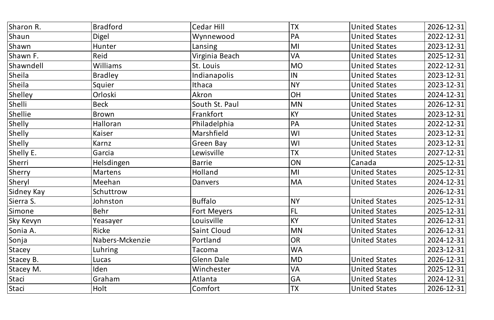| <b>Bradford</b> | <b>Cedar Hill</b>  | <b>TX</b>              | <b>United States</b> | 2026-12-31 |
|-----------------|--------------------|------------------------|----------------------|------------|
| Digel           | Wynnewood          | PA                     | <b>United States</b> | 2022-12-31 |
| Hunter          | Lansing            | $\mathsf{M}\mathsf{l}$ | <b>United States</b> | 2023-12-31 |
| Reid            | Virginia Beach     | <b>VA</b>              | <b>United States</b> | 2025-12-31 |
| <b>Williams</b> | St. Louis          | MO                     | <b>United States</b> | 2022-12-31 |
| <b>Bradley</b>  | Indianapolis       | IN                     | <b>United States</b> | 2023-12-31 |
| Squier          | Ithaca             | NY                     | <b>United States</b> | 2023-12-31 |
| Orloski         | Akron              | OH                     | <b>United States</b> | 2024-12-31 |
| <b>Beck</b>     | South St. Paul     | MN                     | <b>United States</b> | 2026-12-31 |
| Brown           | Frankfort          | KY                     | <b>United States</b> | 2023-12-31 |
| Halloran        | Philadelphia       | PA                     | <b>United States</b> | 2022-12-31 |
| Kaiser          | Marshfield         | WI                     | <b>United States</b> | 2023-12-31 |
| Karnz           | Green Bay          | WI                     | <b>United States</b> | 2023-12-31 |
| Garcia          | Lewisville         | <b>TX</b>              | <b>United States</b> | 2027-12-31 |
| Helsdingen      | <b>Barrie</b>      | ON                     | Canada               | 2025-12-31 |
| <b>Martens</b>  | Holland            | $\mathsf{M}\mathsf{l}$ | <b>United States</b> | 2025-12-31 |
| Meehan          | Danvers            | MA                     | <b>United States</b> | 2024-12-31 |
| Schuttrow       |                    |                        |                      | 2026-12-31 |
| Johnston        | Buffalo            | NY                     | United States        | 2025-12-31 |
| Behr            | <b>Fort Meyers</b> | $ {\sf FL}$            | <b>United States</b> | 2025-12-31 |
| Yeasayer        | Louisville         | <b>KY</b>              | <b>United States</b> | 2026-12-31 |
| Ricke           | <b>Saint Cloud</b> | <b>MN</b>              | <b>United States</b> | 2026-12-31 |
| Nabers-Mckenzie | Portland           | OR                     | <b>United States</b> | 2024-12-31 |
| Luhring         | Tacoma             | <b>WA</b>              |                      | 2023-12-31 |
| Lucas           | <b>Glenn Dale</b>  | $\sf M\rm D$           | <b>United States</b> | 2026-12-31 |
| Iden            | Winchester         | <b>VA</b>              | <b>United States</b> | 2025-12-31 |
| Graham          | Atlanta            | <b>GA</b>              | <b>United States</b> | 2024-12-31 |
| Holt            | Comfort            | TX                     | <b>United States</b> | 2026-12-31 |
|                 |                    |                        |                      |            |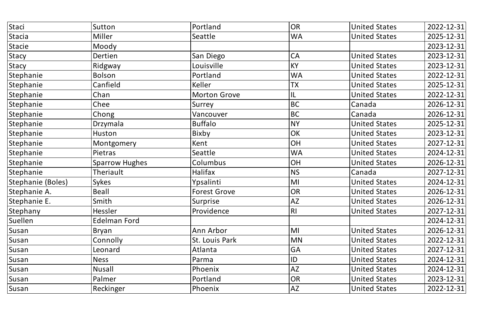| Staci             | Sutton                | Portland            | OR                     | <b>United States</b> | 2022-12-31 |
|-------------------|-----------------------|---------------------|------------------------|----------------------|------------|
| Stacia            | Miller                | Seattle             | <b>WA</b>              | <b>United States</b> | 2025-12-31 |
| Stacie            | Moody                 |                     |                        |                      | 2023-12-31 |
| Stacy             | Dertien               | San Diego           | <b>CA</b>              | <b>United States</b> | 2023-12-31 |
| Stacy             | Ridgway               | Louisville          | <b>KY</b>              | <b>United States</b> | 2023-12-31 |
| Stephanie         | Bolson                | Portland            | <b>WA</b>              | <b>United States</b> | 2022-12-31 |
| Stephanie         | Canfield              | Keller              | <b>TX</b>              | <b>United States</b> | 2025-12-31 |
| Stephanie         | Chan                  | <b>Morton Grove</b> | L                      | <b>United States</b> | 2022-12-31 |
| Stephanie         | Chee                  | Surrey              | <b>BC</b>              | Canada               | 2026-12-31 |
| Stephanie         | Chong                 | Vancouver           | BC                     | Canada               | 2026-12-31 |
| Stephanie         | Drzymala              | <b>Buffalo</b>      | <b>NY</b>              | <b>United States</b> | 2025-12-31 |
| Stephanie         | Huston                | Bixby               | OK                     | <b>United States</b> | 2023-12-31 |
| Stephanie         | Montgomery            | Kent                | OH                     | <b>United States</b> | 2027-12-31 |
| Stephanie         | Pietras               | Seattle             | <b>WA</b>              | <b>United States</b> | 2024-12-31 |
| Stephanie         | <b>Sparrow Hughes</b> | Columbus            | OH                     | <b>United States</b> | 2026-12-31 |
| Stephanie         | Theriault             | Halifax             | <b>NS</b>              | Canada               | 2027-12-31 |
| Stephanie (Boles) | <b>Sykes</b>          | Ypsalinti           | MI                     | <b>United States</b> | 2024-12-31 |
| Stephanie A.      | <b>Beall</b>          | <b>Forest Grove</b> | <b>OR</b>              | <b>United States</b> | 2026-12-31 |
| Stephanie E.      | Smith                 | Surprise            | <b>AZ</b>              | <b>United States</b> | 2026-12-31 |
| Stephany          | Hessler               | Providence          | R                      | <b>United States</b> | 2027-12-31 |
| Suellen           | Edelman Ford          |                     |                        |                      | 2024-12-31 |
| Susan             | Bryan                 | Ann Arbor           | $\mathsf{M}\mathsf{I}$ | <b>United States</b> | 2026-12-31 |
| Susan             | Connolly              | St. Louis Park      | <b>MN</b>              | <b>United States</b> | 2022-12-31 |
| Susan             | Leonard               | Atlanta             | GA                     | <b>United States</b> | 2027-12-31 |
| Susan             | <b>Ness</b>           | Parma               | ID                     | <b>United States</b> | 2024-12-31 |
| Susan             | Nusall                | Phoenix             | <b>AZ</b>              | <b>United States</b> | 2024-12-31 |
| Susan             | Palmer                | Portland            | <b>OR</b>              | <b>United States</b> | 2023-12-31 |
| Susan             | Reckinger             | Phoenix             | AZ                     | <b>United States</b> | 2022-12-31 |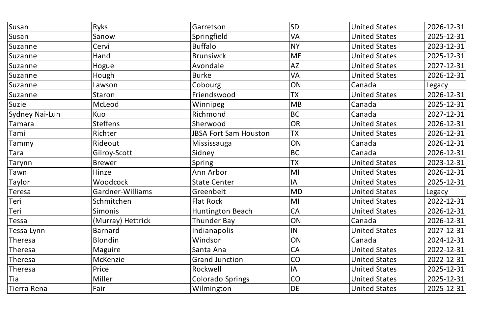| Susan                 | Ryks              | Garretson                    | SD                       | <b>United States</b> | 2026-12-31 |
|-----------------------|-------------------|------------------------------|--------------------------|----------------------|------------|
| Susan                 | Sanow             | Springfield                  | <b>VA</b>                | <b>United States</b> | 2025-12-31 |
| Suzanne               | Cervi             | <b>Buffalo</b>               | NY)                      | <b>United States</b> | 2023-12-31 |
| Suzanne               | Hand              | <b>Brunsiwck</b>             | ME                       | <b>United States</b> | 2025-12-31 |
| Suzanne               | Hogue             | Avondale                     | AZ                       | <b>United States</b> | 2027-12-31 |
| Suzanne               | Hough             | <b>Burke</b>                 | <b>VA</b>                | <b>United States</b> | 2026-12-31 |
| Suzanne               | Lawson            | Cobourg                      | ON                       | Canada               | Legacy     |
| Suzanne               | Staron            | Friendswood                  | <b>TX</b>                | <b>United States</b> | 2026-12-31 |
| Suzie                 | McLeod            | Winnipeg                     | $\overline{\mathsf{MB}}$ | Canada               | 2025-12-31 |
| <b>Sydney Nai-Lun</b> | Kuo               | Richmond                     | BC                       | Canada               | 2027-12-31 |
| Tamara                | <b>Steffens</b>   | Sherwood                     | OR                       | <b>United States</b> | 2026-12-31 |
| Tami                  | Richter           | <b>JBSA Fort Sam Houston</b> | <b>TX</b>                | <b>United States</b> | 2026-12-31 |
| Tammy                 | Rideout           | Mississauga                  | ON                       | Canada               | 2026-12-31 |
| Tara                  | Gilroy-Scott      | Sidney                       | BC                       | Canada               | 2026-12-31 |
| Tarynn                | <b>Brewer</b>     | Spring                       | 'TX                      | <b>United States</b> | 2023-12-31 |
| Tawn                  | Hinze             | Ann Arbor                    | M                        | <b>United States</b> | 2026-12-31 |
| Taylor                | Woodcock          | <b>State Center</b>          | IA                       | <b>United States</b> | 2025-12-31 |
| <b>Teresa</b>         | Gardner-Williams  | Greenbelt                    | <b>MD</b>                | <b>United States</b> | Legacy     |
| $ \textsf{Teri} $     | Schmitchen        | <b>Flat Rock</b>             | M                        | United States        | 2022-12-31 |
| Teri                  | <b>Simonis</b>    | Huntington Beach             | <b>CA</b>                | <b>United States</b> | 2026-12-31 |
| Tessa                 | (Murray) Hettrick | Thunder Bay                  | ON                       | Canada               | 2026-12-31 |
| Tessa Lynn            | Barnard           | Indianapolis                 | IN                       | <b>United States</b> | 2027-12-31 |
| Theresa               | Blondin           | Windsor                      | ON                       | Canada               | 2024-12-31 |
| Theresa               | Maguire           | Santa Ana                    | <b>CA</b>                | <b>United States</b> | 2022-12-31 |
| Theresa               | McKenzie          | <b>Grand Junction</b>        | <b>CO</b>                | <b>United States</b> | 2022-12-31 |
| Theresa               | Price             | Rockwell                     | IA                       | <b>United States</b> | 2025-12-31 |
| Tia                   | Miller            | <b>Colorado Springs</b>      | <b>CO</b>                | <b>United States</b> | 2025-12-31 |
| Tierra Rena           | Fair              | Wilmington                   | DE                       | <b>United States</b> | 2025-12-31 |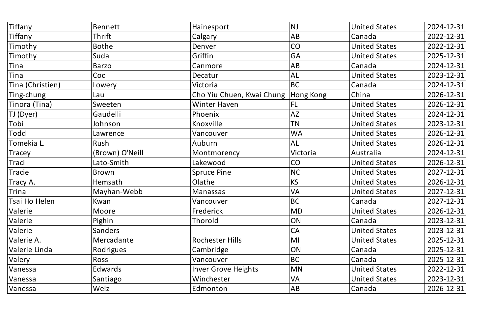| Tiffany          | <b>Bennett</b>  | Hainesport                            | <b>NJ</b> | <b>United States</b> | 2024-12-31 |
|------------------|-----------------|---------------------------------------|-----------|----------------------|------------|
| Tiffany          | Thrift          | Calgary                               | AB        | Canada               | 2022-12-31 |
| Timothy          | <b>Bothe</b>    | Denver                                | CO        | <b>United States</b> | 2022-12-31 |
| Timothy          | Suda            | Griffin                               | GA        | <b>United States</b> | 2025-12-31 |
| <b>Tina</b>      | Barzo           | Canmore                               | AB        | Canada               | 2024-12-31 |
| Tina             | Coc             | Decatur                               | AL        | <b>United States</b> | 2023-12-31 |
| Tina (Christien) | Lowery          | Victoria                              | <b>BC</b> | Canada               | 2024-12-31 |
| Ting-chung       | Lau             | Cho Yiu Chuen, Kwai Chung   Hong Kong |           | China                | 2026-12-31 |
| Tinora (Tina)    | Sweeten         | Winter Haven                          | FL        | <b>United States</b> | 2026-12-31 |
| TJ (Dyer)        | Gaudelli        | Phoenix                               | <b>AZ</b> | <b>United States</b> | 2024-12-31 |
| Tobi             | Johnson         | Knoxville                             | <b>TN</b> | <b>United States</b> | 2023-12-31 |
| Todd             | Lawrence        | Vancouver                             | <b>WA</b> | <b>United States</b> | 2026-12-31 |
| Tomekia L.       | Rush            | Auburn                                | <b>AL</b> | <b>United States</b> | 2026-12-31 |
| <b>Tracey</b>    | (Brown) O'Neill | Montmorency                           | Victoria  | Australia            | 2024-12-31 |
| Traci            | Lato-Smith      | Lakewood                              | CO        | <b>United States</b> | 2026-12-31 |
| Tracie           | Brown           | <b>Spruce Pine</b>                    | <b>NC</b> | <b>United States</b> | 2027-12-31 |
| Tracy A.         | <b>Hemsath</b>  | Olathe                                | <b>KS</b> | <b>United States</b> | 2026-12-31 |
| Trina            | Mayhan-Webb     | Manassas                              | VA        | <b>United States</b> | 2027-12-31 |
| Tsai Ho Helen    | Kwan            | Vancouver                             | <b>BC</b> | Canada               | 2027-12-31 |
| Valerie          | Moore           | <b>Frederick</b>                      | MD        | <b>United States</b> | 2026-12-31 |
| Valerie          | Pighin          | Thorold                               | ON        | Canada               | 2023-12-31 |
| Valerie          | Sanders         |                                       | <b>CA</b> | <b>United States</b> | 2023-12-31 |
| Valerie A.       | Mercadante      | <b>Rochester Hills</b>                | MI        | <b>United States</b> | 2025-12-31 |
| Valerie Linda    | Rodrigues       | Cambridge                             | ON        | Canada               | 2025-12-31 |
| Valery           | Ross            | Vancouver                             | <b>BC</b> | Canada               | 2025-12-31 |
| Vanessa          | Edwards         | <b>Inver Grove Heights</b>            | <b>MN</b> | <b>United States</b> | 2022-12-31 |
| Vanessa          | Santiago        | Winchester                            | VA        | <b>United States</b> | 2023-12-31 |
| Vanessa          | Welz            | Edmonton                              | AB        | Canada               | 2026-12-31 |